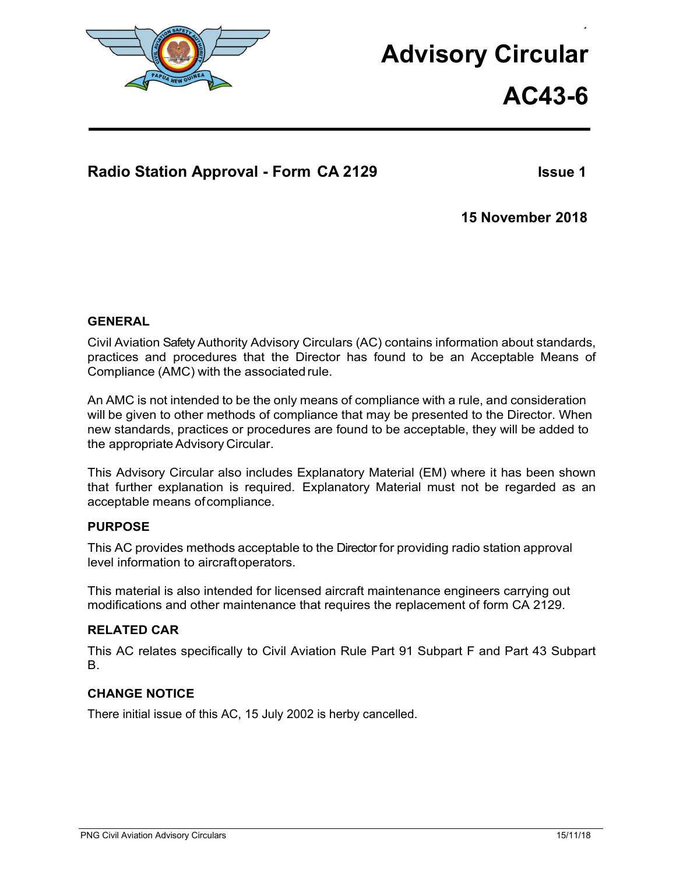

# **Advisory Circular**

**AC43-6**

 $\ddot{\phantom{1}}$ 

## **Radio Station Approval - Form CA 2129 Issue 1**

**15 November 2018**

#### **GENERAL**

Civil Aviation Safety Authority Advisory Circulars (AC) contains information about standards, practices and procedures that the Director has found to be an Acceptable Means of Compliance (AMC) with the associated rule.

An AMC is not intended to be the only means of compliance with a rule, and consideration will be given to other methods of compliance that may be presented to the Director. When new standards, practices or procedures are found to be acceptable, they will be added to the appropriate Advisory Circular.

This Advisory Circular also includes Explanatory Material (EM) where it has been shown that further explanation is required. Explanatory Material must not be regarded as an acceptable means ofcompliance.

#### **PURPOSE**

This AC provides methods acceptable to the Director for providing radio station approval level information to aircraftoperators.

This material is also intended for licensed aircraft maintenance engineers carrying out modifications and other maintenance that requires the replacement of form CA 2129.

#### **RELATED CAR**

This AC relates specifically to Civil Aviation Rule Part 91 Subpart F and Part 43 Subpart B.

#### **CHANGE NOTICE**

There initial issue of this AC, 15 July 2002 is herby cancelled.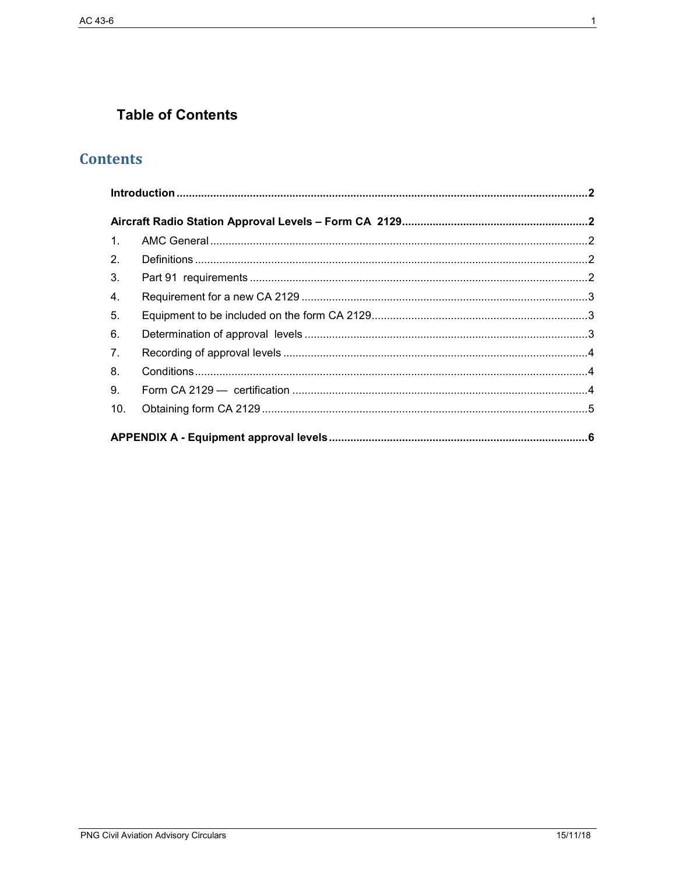## **Table of Contents**

## **Contents**

| 1.  |  |
|-----|--|
| 2.  |  |
| 3.  |  |
| 4.  |  |
| 5.  |  |
| 6.  |  |
| 7.  |  |
| 8.  |  |
| 9.  |  |
| 10. |  |
|     |  |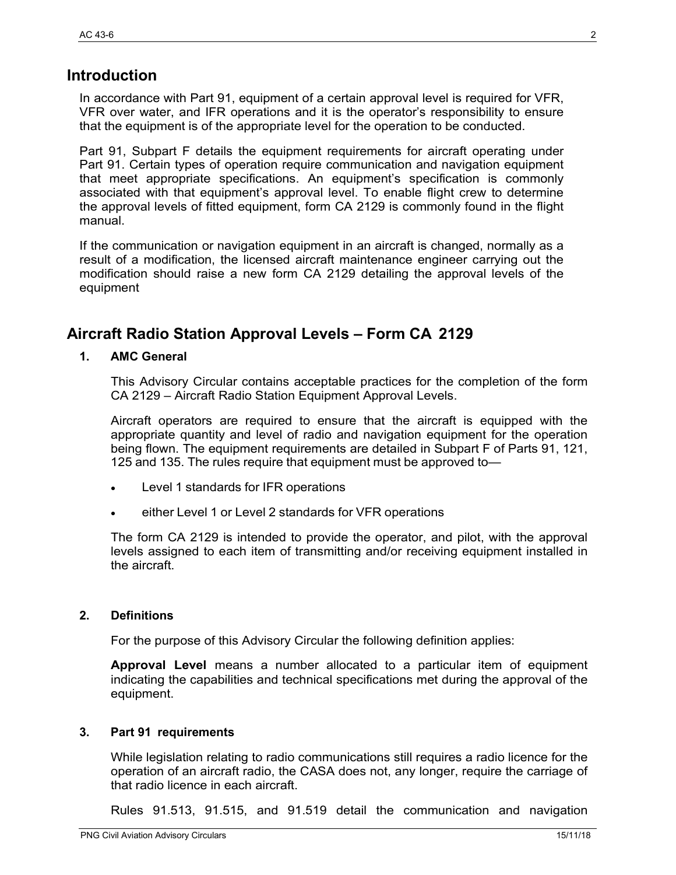## <span id="page-2-0"></span>**Introduction**

In accordance with Part 91, equipment of a certain approval level is required for VFR, VFR over water, and IFR operations and it is the operator's responsibility to ensure that the equipment is of the appropriate level for the operation to be conducted.

Part 91, Subpart F details the equipment requirements for aircraft operating under Part 91. Certain types of operation require communication and navigation equipment that meet appropriate specifications. An equipment's specification is commonly associated with that equipment's approval level. To enable flight crew to determine the approval levels of fitted equipment, form CA 2129 is commonly found in the flight manual.

If the communication or navigation equipment in an aircraft is changed, normally as a result of a modification, the licensed aircraft maintenance engineer carrying out the modification should raise a new form CA 2129 detailing the approval levels of the equipment

## <span id="page-2-1"></span>**Aircraft Radio Station Approval Levels – Form CA 2129**

#### <span id="page-2-2"></span>**1. AMC General**

This Advisory Circular contains acceptable practices for the completion of the form CA 2129 – Aircraft Radio Station Equipment Approval Levels.

Aircraft operators are required to ensure that the aircraft is equipped with the appropriate quantity and level of radio and navigation equipment for the operation being flown. The equipment requirements are detailed in Subpart F of Parts 91, 121, 125 and 135. The rules require that equipment must be approved to—

- Level 1 standards for IFR operations
- either Level 1 or Level 2 standards for VFR operations

The form CA 2129 is intended to provide the operator, and pilot, with the approval levels assigned to each item of transmitting and/or receiving equipment installed in the aircraft.

#### <span id="page-2-3"></span>**2. Definitions**

For the purpose of this Advisory Circular the following definition applies:

**Approval Level** means a number allocated to a particular item of equipment indicating the capabilities and technical specifications met during the approval of the equipment.

#### <span id="page-2-4"></span>**3. Part 91 requirements**

While legislation relating to radio communications still requires a radio licence for the operation of an aircraft radio, the CASA does not, any longer, require the carriage of that radio licence in each aircraft.

Rules 91.513, 91.515, and 91.519 detail the communication and navigation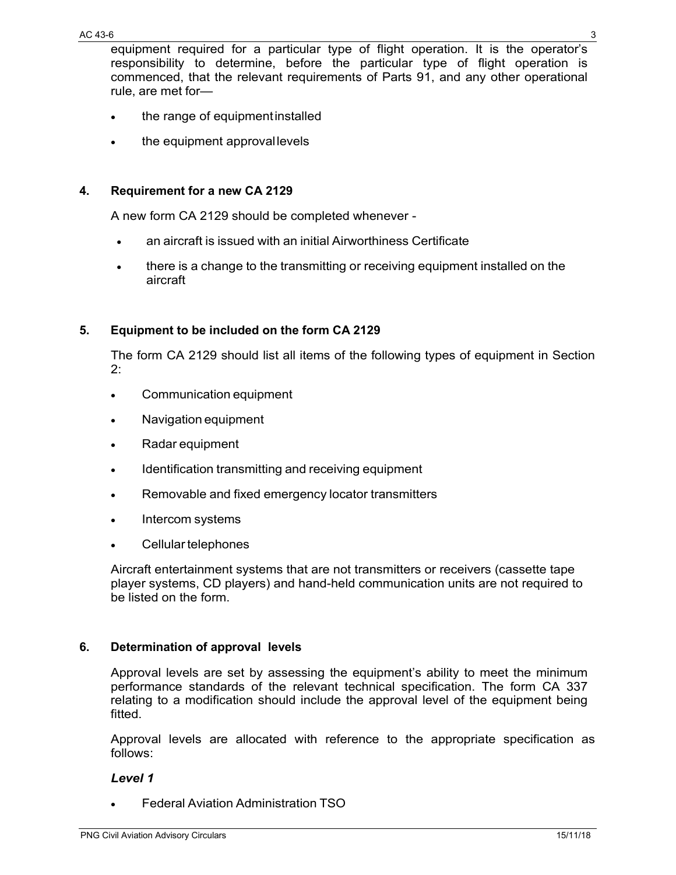equipment required for a particular type of flight operation. It is the operator's responsibility to determine, before the particular type of flight operation is commenced, that the relevant requirements of Parts 91, and any other operational rule, are met for—

- the range of equipmentinstalled
- the equipment approval levels

#### <span id="page-3-0"></span>**4. Requirement for a new CA 2129**

A new form CA 2129 should be completed whenever -

- an aircraft is issued with an initial Airworthiness Certificate
- there is a change to the transmitting or receiving equipment installed on the aircraft

#### <span id="page-3-1"></span>**5. Equipment to be included on the form CA 2129**

The form CA 2129 should list all items of the following types of equipment in Section 2:

- Communication equipment
- Navigation equipment
- Radar equipment
- Identification transmitting and receiving equipment
- Removable and fixed emergency locator transmitters
- Intercom systems
- Cellular telephones

Aircraft entertainment systems that are not transmitters or receivers (cassette tape player systems, CD players) and hand-held communication units are not required to be listed on the form.

#### <span id="page-3-2"></span>**6. Determination of approval levels**

Approval levels are set by assessing the equipment's ability to meet the minimum performance standards of the relevant technical specification. The form CA 337 relating to a modification should include the approval level of the equipment being fitted.

Approval levels are allocated with reference to the appropriate specification as follows:

#### *Level 1*

• Federal Aviation Administration TSO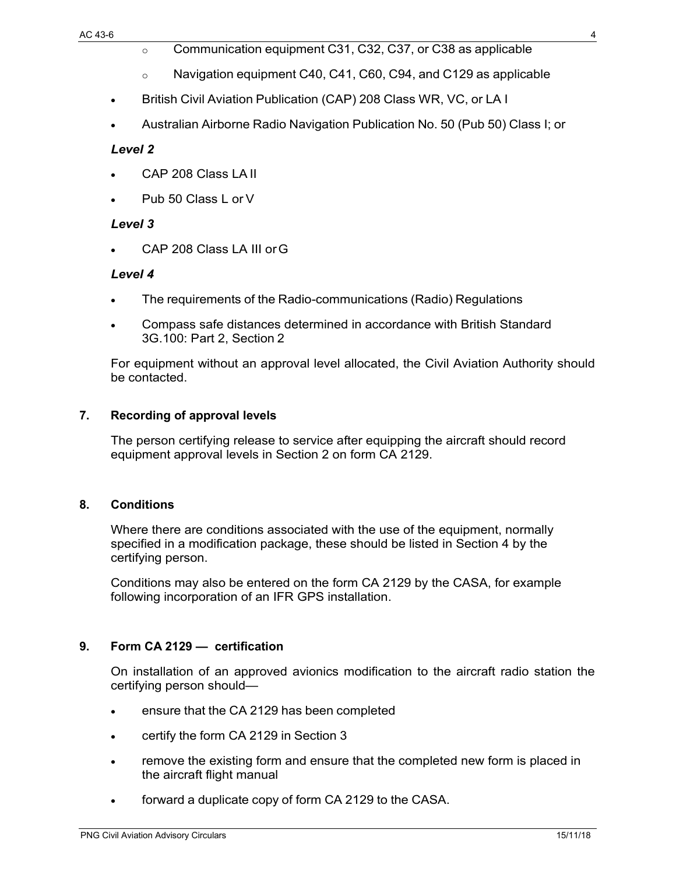- o Communication equipment C31, C32, C37, or C38 as applicable
- o Navigation equipment C40, C41, C60, C94, and C129 as applicable
- British Civil Aviation Publication (CAP) 208 Class WR, VC, or LA I
- Australian Airborne Radio Navigation Publication No. 50 (Pub 50) Class I; or

#### *Level 2*

- CAP 208 Class LA II
- Pub 50 Class L or V

#### *Level 3*

• CAP 208 Class LA III orG

#### *Level 4*

- The requirements of the Radio-communications (Radio) Regulations
- Compass safe distances determined in accordance with British Standard 3G.100: Part 2, Section 2

For equipment without an approval level allocated, the Civil Aviation Authority should be contacted.

#### <span id="page-4-0"></span>**7. Recording of approval levels**

The person certifying release to service after equipping the aircraft should record equipment approval levels in Section 2 on form CA 2129.

#### <span id="page-4-1"></span>**8. Conditions**

Where there are conditions associated with the use of the equipment, normally specified in a modification package, these should be listed in Section 4 by the certifying person.

Conditions may also be entered on the form CA 2129 by the CASA, for example following incorporation of an IFR GPS installation.

#### <span id="page-4-2"></span>**9. Form CA 2129 — certification**

On installation of an approved avionics modification to the aircraft radio station the certifying person should—

- ensure that the CA 2129 has been completed
- certify the form CA 2129 in Section 3
- remove the existing form and ensure that the completed new form is placed in the aircraft flight manual
- forward a duplicate copy of form CA 2129 to the CASA.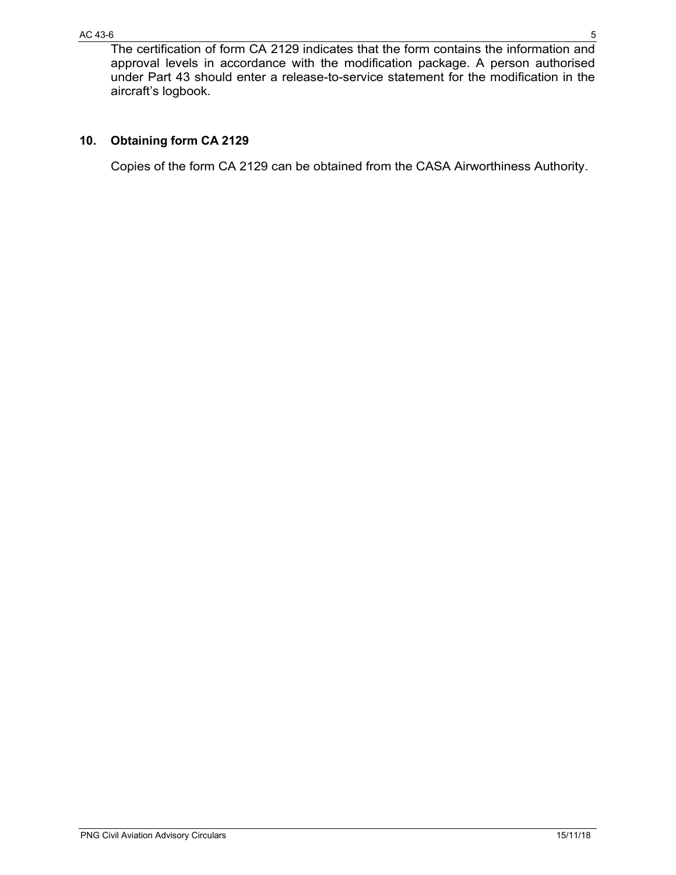#### <span id="page-5-0"></span>**10. Obtaining form CA 2129**

Copies of the form CA 2129 can be obtained from the CASA Airworthiness Authority.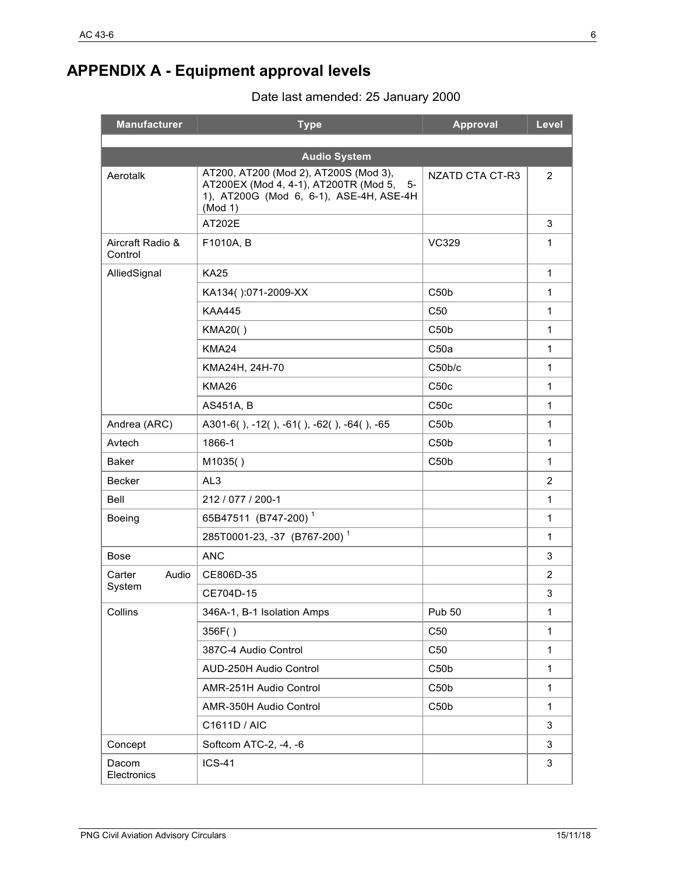## <span id="page-6-0"></span>**APPENDIX A - Equipment approval levels**

Date last amended: 25 January 2000

| <b>Manufacturer</b>         | <b>Type</b>                                                                                                                                                       | Approval               | Level          |
|-----------------------------|-------------------------------------------------------------------------------------------------------------------------------------------------------------------|------------------------|----------------|
|                             |                                                                                                                                                                   |                        |                |
| Aerotalk                    | <b>Audio System</b><br>AT200, AT200 (Mod 2), AT200S (Mod 3),<br>AT200EX (Mod 4, 4-1), AT200TR (Mod 5,<br>5-<br>1), AT200G (Mod 6, 6-1), ASE-4H, ASE-4H<br>(Mod 1) | <b>NZATD CTA CT-R3</b> | $\overline{2}$ |
|                             | AT202E                                                                                                                                                            |                        | 3              |
| Aircraft Radio &<br>Control | F1010A, B                                                                                                                                                         | <b>VC329</b>           | 1              |
| AlliedSignal                | <b>KA25</b>                                                                                                                                                       |                        | 1              |
|                             | KA134():071-2009-XX                                                                                                                                               | C50 <sub>b</sub>       | 1              |
|                             | <b>KAA445</b>                                                                                                                                                     | C <sub>50</sub>        | 1              |
|                             | KMA20()                                                                                                                                                           | C50 <sub>b</sub>       | 1              |
|                             | <b>KMA24</b>                                                                                                                                                      | C50a                   | 1              |
|                             | KMA24H, 24H-70                                                                                                                                                    | C50b/c                 | 1              |
|                             | <b>KMA26</b>                                                                                                                                                      | C50c                   | 1              |
|                             | AS451A, B                                                                                                                                                         | C50c                   | 1              |
| Andrea (ARC)                | A301-6(), -12(), -61(), -62(), -64(), -65                                                                                                                         | C50 <sub>b</sub>       | 1              |
| Avtech                      | 1866-1                                                                                                                                                            | C50 <sub>b</sub>       | 1              |
| <b>Baker</b>                | M1035()                                                                                                                                                           | C50 <sub>b</sub>       | 1              |
| <b>Becker</b>               | AL <sub>3</sub>                                                                                                                                                   |                        | $\overline{2}$ |
| Bell                        | 212 / 077 / 200-1                                                                                                                                                 |                        | 1              |
| <b>Boeing</b>               | 65B47511 (B747-200) <sup>1</sup>                                                                                                                                  |                        | 1              |
|                             | 285T0001-23, -37 (B767-200) <sup>1</sup>                                                                                                                          |                        | 1              |
| <b>Bose</b>                 | <b>ANC</b>                                                                                                                                                        |                        | 3              |
| Carter<br>Audio             | CE806D-35                                                                                                                                                         |                        | $\overline{2}$ |
| System                      | CE704D-15                                                                                                                                                         |                        | 3              |
| Collins                     | 346A-1, B-1 Isolation Amps                                                                                                                                        | <b>Pub 50</b>          | $\mathbf 1$    |
|                             | 356F()                                                                                                                                                            | C <sub>50</sub>        | 1              |
|                             | 387C-4 Audio Control                                                                                                                                              | C50                    | 1              |
|                             | AUD-250H Audio Control                                                                                                                                            | C50 <sub>b</sub>       | $\mathbf{1}$   |
|                             | AMR-251H Audio Control                                                                                                                                            | C50 <sub>b</sub>       | $\mathbf{1}$   |
|                             | AMR-350H Audio Control                                                                                                                                            | C50 <sub>b</sub>       | 1              |
|                             | C1611D / AIC                                                                                                                                                      |                        | 3              |
| Concept                     | Softcom ATC-2, -4, -6                                                                                                                                             |                        | 3              |
| Dacom<br>Electronics        | <b>ICS-41</b>                                                                                                                                                     |                        | 3              |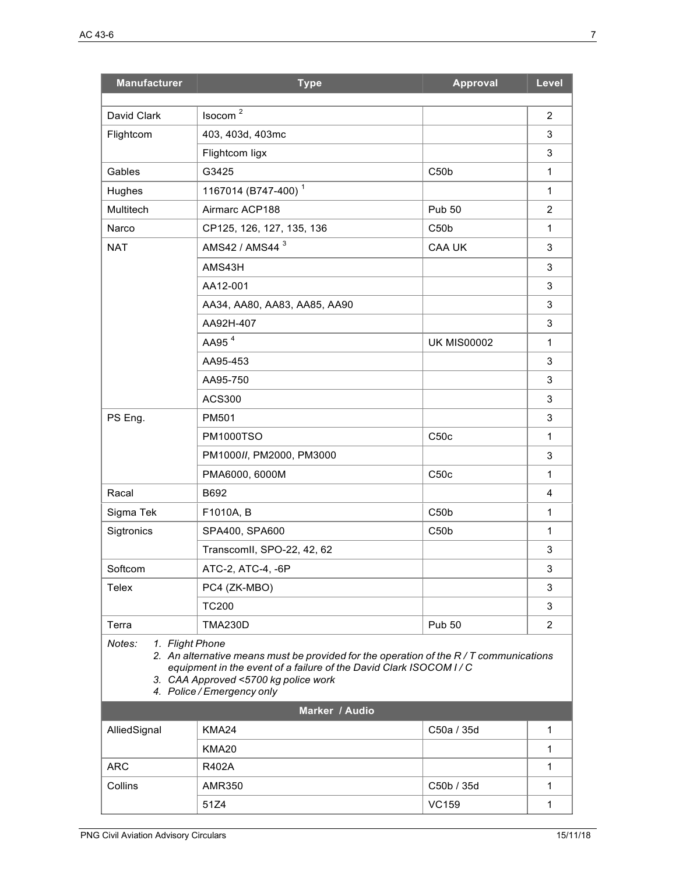| <b>Manufacturer</b>                                                                                                                                                                                                                                          | <b>Type</b>                     | <b>Approval</b>    | Level          |
|--------------------------------------------------------------------------------------------------------------------------------------------------------------------------------------------------------------------------------------------------------------|---------------------------------|--------------------|----------------|
| David Clark                                                                                                                                                                                                                                                  | Isocom <sup>2</sup>             |                    | 2              |
| Flightcom                                                                                                                                                                                                                                                    | 403, 403d, 403mc                |                    | 3              |
|                                                                                                                                                                                                                                                              | Flightcom ligx                  |                    | 3              |
| Gables                                                                                                                                                                                                                                                       | G3425                           | C50 <sub>b</sub>   | $\mathbf{1}$   |
| Hughes                                                                                                                                                                                                                                                       | 1167014 (B747-400) <sup>1</sup> |                    | 1              |
| Multitech                                                                                                                                                                                                                                                    | Airmarc ACP188                  | <b>Pub 50</b>      | $\overline{2}$ |
| Narco                                                                                                                                                                                                                                                        | CP125, 126, 127, 135, 136       | C50 <sub>b</sub>   | 1              |
| <b>NAT</b>                                                                                                                                                                                                                                                   | AMS42 / AMS44 <sup>3</sup>      | <b>CAA UK</b>      | 3              |
|                                                                                                                                                                                                                                                              | AMS43H                          |                    | 3              |
|                                                                                                                                                                                                                                                              | AA12-001                        |                    | 3              |
|                                                                                                                                                                                                                                                              | AA34, AA80, AA83, AA85, AA90    |                    | 3              |
|                                                                                                                                                                                                                                                              | AA92H-407                       |                    | 3              |
|                                                                                                                                                                                                                                                              | AA95 <sup>4</sup>               | <b>UK MIS00002</b> | 1              |
|                                                                                                                                                                                                                                                              | AA95-453                        |                    | 3              |
|                                                                                                                                                                                                                                                              | AA95-750                        |                    | 3              |
|                                                                                                                                                                                                                                                              | <b>ACS300</b>                   |                    | 3              |
| PS Eng.                                                                                                                                                                                                                                                      | PM501                           |                    | 3              |
|                                                                                                                                                                                                                                                              | <b>PM1000TSO</b>                | C50c               | 1              |
|                                                                                                                                                                                                                                                              | PM1000//, PM2000, PM3000        |                    | 3              |
|                                                                                                                                                                                                                                                              | PMA6000, 6000M                  | C50c               | 1              |
| Racal                                                                                                                                                                                                                                                        | B692                            |                    | 4              |
| Sigma Tek                                                                                                                                                                                                                                                    | F1010A, B                       | C50 <sub>b</sub>   | 1              |
| Sigtronics                                                                                                                                                                                                                                                   | SPA400, SPA600                  | C50 <sub>b</sub>   | 1              |
|                                                                                                                                                                                                                                                              | TranscomII, SPO-22, 42, 62      |                    | 3              |
| Softcom                                                                                                                                                                                                                                                      | ATC-2, ATC-4, -6P               |                    | 3              |
| Telex                                                                                                                                                                                                                                                        | PC4 (ZK-MBO)                    |                    | 3              |
|                                                                                                                                                                                                                                                              | <b>TC200</b>                    |                    | 3              |
| Terra                                                                                                                                                                                                                                                        | <b>TMA230D</b>                  | <b>Pub 50</b>      | 2              |
| Notes:<br>1. Flight Phone<br>2. An alternative means must be provided for the operation of the R/T communications<br>equipment in the event of a failure of the David Clark ISOCOM I/C<br>3. CAA Approved <5700 kg police work<br>4. Police / Emergency only |                                 |                    |                |
|                                                                                                                                                                                                                                                              | Marker / Audio                  |                    |                |
| AlliedSignal                                                                                                                                                                                                                                                 | KMA24                           | C50a / 35d         | 1              |
|                                                                                                                                                                                                                                                              | KMA <sub>20</sub>               |                    | 1              |
| <b>ARC</b>                                                                                                                                                                                                                                                   | R402A                           |                    | 1              |
| Collins                                                                                                                                                                                                                                                      | <b>AMR350</b>                   | C50b / 35d         | $\mathbf{1}$   |
|                                                                                                                                                                                                                                                              | 51Z4                            | <b>VC159</b>       | 1              |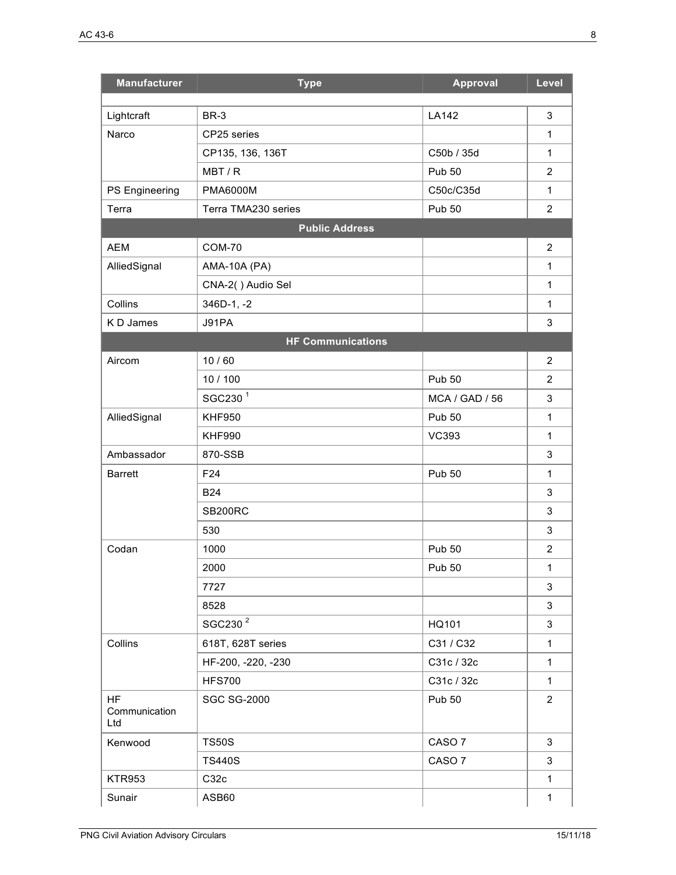| <b>Manufacturer</b>               | <b>Type</b>              | <b>Approval</b>       | Level          |
|-----------------------------------|--------------------------|-----------------------|----------------|
|                                   | BR-3                     | <b>LA142</b>          | $\mathbf{3}$   |
| Lightcraft<br>Narco               | CP25 series              |                       | 1              |
|                                   | CP135, 136, 136T         | C50b / 35d            | $\mathbf 1$    |
|                                   | MBT/R                    | <b>Pub 50</b>         | $\overline{2}$ |
| PS Engineering                    | <b>PMA6000M</b>          | C50c/C35d             | $\mathbf 1$    |
| Terra                             | Terra TMA230 series      | <b>Pub 50</b>         | $\overline{2}$ |
|                                   | <b>Public Address</b>    |                       |                |
| <b>AEM</b>                        | <b>COM-70</b>            |                       | $\overline{2}$ |
| AlliedSignal                      | AMA-10A (PA)             |                       | 1              |
|                                   | CNA-2() Audio Sel        |                       | $\mathbf{1}$   |
| Collins                           | 346D-1, -2               |                       | $\mathbf{1}$   |
| K D James                         | J91PA                    |                       | 3              |
|                                   | <b>HF Communications</b> |                       |                |
| Aircom                            | 10/60                    |                       | $\overline{2}$ |
|                                   | 10 / 100                 | <b>Pub 50</b>         | $\overline{2}$ |
|                                   | SGC230 <sup>1</sup>      | <b>MCA / GAD / 56</b> | 3              |
|                                   | <b>KHF950</b>            | <b>Pub 50</b>         | $\mathbf{1}$   |
| AlliedSignal                      | <b>KHF990</b>            | <b>VC393</b>          | 1              |
|                                   |                          |                       |                |
| Ambassador<br><b>Barrett</b>      | 870-SSB<br>F24           | <b>Pub 50</b>         | 3<br>1         |
|                                   |                          |                       |                |
|                                   | <b>B24</b>               |                       | 3              |
|                                   | <b>SB200RC</b>           |                       | 3              |
|                                   | 530                      |                       | 3              |
| Codan                             | 1000                     | Pub 50                | $\overline{2}$ |
|                                   | 2000                     | <b>Pub 50</b>         | $\mathbf 1$    |
|                                   | 7727                     |                       | 3              |
|                                   | 8528                     |                       | 3              |
|                                   | SGC230 <sup>2</sup>      | HQ101                 | 3              |
| Collins                           | 618T, 628T series        | C31 / C32             | $\mathbf{1}$   |
|                                   | HF-200, -220, -230       | C31c / 32c            | 1              |
|                                   | <b>HFS700</b>            | C31c / 32c            | $\mathbf{1}$   |
| <b>HF</b><br>Communication<br>Ltd | <b>SGC SG-2000</b>       | <b>Pub 50</b>         | $\overline{2}$ |
| Kenwood                           | <b>TS50S</b>             | CASO <sub>7</sub>     | 3              |
|                                   | <b>TS440S</b>            | CASO <sub>7</sub>     | 3              |
| <b>KTR953</b>                     | C32c                     |                       | $\mathbf{1}$   |
| Sunair                            | ASB60                    |                       | 1              |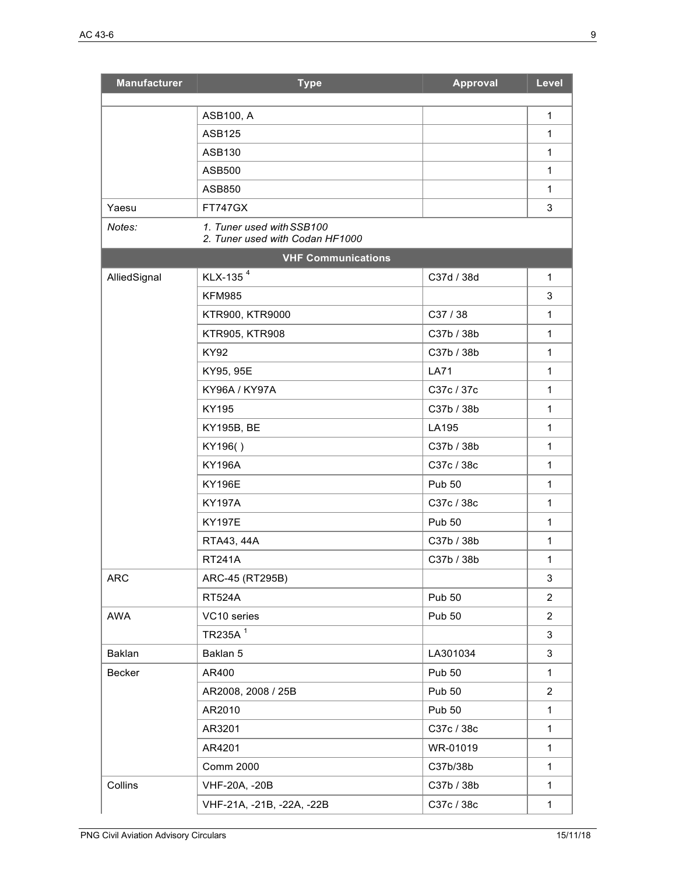| <b>Manufacturer</b> | <b>Type</b>                                                  | <b>Approval</b> | Level          |
|---------------------|--------------------------------------------------------------|-----------------|----------------|
|                     | ASB100, A                                                    |                 | 1              |
|                     | <b>ASB125</b>                                                |                 | 1              |
|                     | ASB130                                                       |                 | 1              |
|                     | <b>ASB500</b>                                                |                 | 1              |
|                     | ASB850                                                       |                 | 1              |
| Yaesu               | <b>FT747GX</b>                                               |                 | 3              |
| Notes:              | 1. Tuner used with SSB100<br>2. Tuner used with Codan HF1000 |                 |                |
|                     | <b>VHF Communications</b>                                    |                 |                |
| AlliedSignal        | KLX-135 <sup>4</sup>                                         | C37d / 38d      | $\mathbf{1}$   |
|                     | <b>KFM985</b>                                                |                 | 3              |
|                     | KTR900, KTR9000                                              | C37/38          | 1              |
|                     | <b>KTR905, KTR908</b>                                        | C37b / 38b      | $\mathbf{1}$   |
|                     | <b>KY92</b>                                                  | C37b / 38b      | $\mathbf{1}$   |
|                     | KY95, 95E                                                    | <b>LA71</b>     | $\mathbf{1}$   |
|                     | KY96A / KY97A                                                | C37c / 37c      | $\mathbf{1}$   |
|                     | KY195                                                        | C37b / 38b      | 1              |
|                     | <b>KY195B, BE</b>                                            | LA195           | 1              |
|                     | KY196()                                                      | C37b / 38b      | $\mathbf{1}$   |
|                     | <b>KY196A</b>                                                | C37c / 38c      | $\mathbf{1}$   |
|                     | <b>KY196E</b>                                                | <b>Pub 50</b>   | $\mathbf{1}$   |
|                     | <b>KY197A</b>                                                | C37c / 38c      | 1              |
|                     | <b>KY197E</b>                                                | <b>Pub 50</b>   | 1              |
|                     | RTA43, 44A                                                   | C37b / 38b      | $\mathbf{1}$   |
|                     | <b>RT241A</b>                                                | C37b / 38b      | 1              |
| <b>ARC</b>          | ARC-45 (RT295B)                                              |                 | 3              |
|                     | <b>RT524A</b>                                                | <b>Pub 50</b>   | $\overline{2}$ |
| AWA                 | VC10 series                                                  | <b>Pub 50</b>   | $\overline{c}$ |
|                     | TR235A <sup>1</sup>                                          |                 | 3              |
| Baklan              | Baklan 5                                                     | LA301034        | 3              |
| Becker              | AR400                                                        | <b>Pub 50</b>   | 1              |
|                     | AR2008, 2008 / 25B                                           | <b>Pub 50</b>   | $\overline{2}$ |
|                     | AR2010                                                       | <b>Pub 50</b>   | 1              |
|                     | AR3201                                                       | C37c / 38c      | 1              |
|                     | AR4201                                                       | WR-01019        | $\mathbf{1}$   |
|                     | <b>Comm 2000</b>                                             | C37b/38b        | 1              |
| Collins             | VHF-20A, -20B                                                | C37b / 38b      | 1              |
|                     | VHF-21A, -21B, -22A, -22B                                    | C37c / 38c      | $\mathbf{1}$   |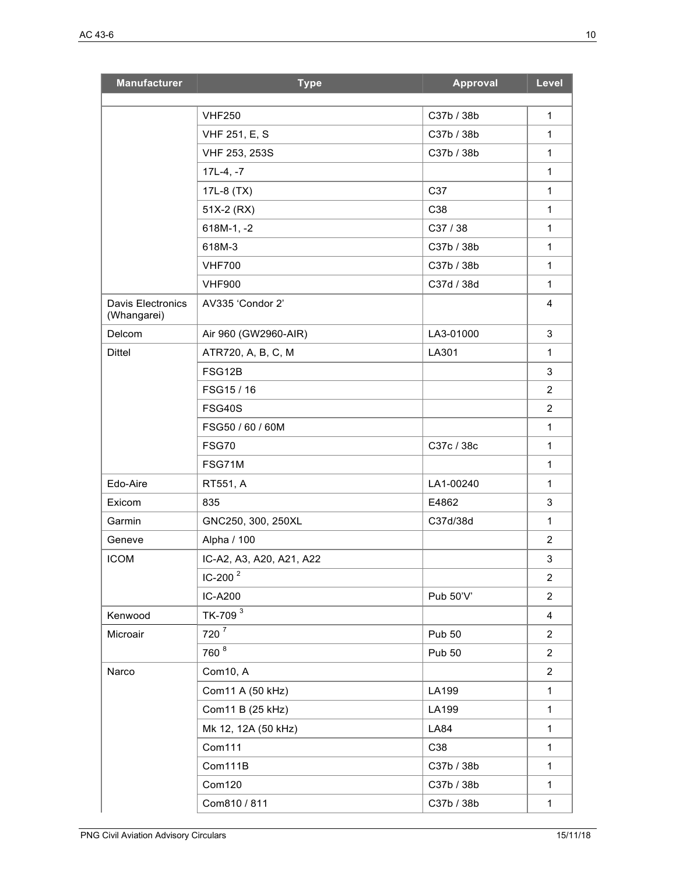| <b>Manufacturer</b>                     | <b>Type</b>                    | <b>Approval</b>          | Level                        |
|-----------------------------------------|--------------------------------|--------------------------|------------------------------|
|                                         |                                |                          |                              |
|                                         | <b>VHF250</b>                  | C37b / 38b<br>C37b / 38b | $\mathbf{1}$<br>$\mathbf{1}$ |
|                                         | VHF 251, E, S<br>VHF 253, 253S |                          | $\mathbf{1}$                 |
|                                         |                                | C37b / 38b               |                              |
|                                         | $17L-4, -7$                    |                          | 1                            |
|                                         | 17L-8 (TX)                     | C37                      | $\mathbf{1}$                 |
|                                         | 51X-2 (RX)                     | C38                      | $\mathbf{1}$                 |
|                                         | $618M-1, -2$                   | C37 / 38                 | 1                            |
|                                         | 618M-3                         | C37b / 38b               | $\mathbf{1}$                 |
|                                         | <b>VHF700</b>                  | C37b / 38b               | $\mathbf{1}$                 |
|                                         | <b>VHF900</b>                  | C37d / 38d               | $\mathbf{1}$                 |
| <b>Davis Electronics</b><br>(Whangarei) | AV335 'Condor 2'               |                          | 4                            |
| Delcom                                  | Air 960 (GW2960-AIR)           | LA3-01000                | 3                            |
| <b>Dittel</b>                           | ATR720, A, B, C, M             | LA301                    | $\mathbf{1}$                 |
|                                         | FSG12B                         |                          | 3                            |
|                                         | FSG15/16                       |                          | $\overline{2}$               |
|                                         | FSG40S                         |                          | $\overline{2}$               |
|                                         | FSG50 / 60 / 60M               |                          | 1                            |
|                                         | <b>FSG70</b>                   | C37c / 38c               | $\mathbf{1}$                 |
|                                         | FSG71M                         |                          | $\mathbf{1}$                 |
| Edo-Aire                                | RT551, A                       | LA1-00240                | 1                            |
| Exicom                                  | 835                            | E4862                    | 3                            |
| Garmin                                  | GNC250, 300, 250XL             | C37d/38d                 | $\mathbf{1}$                 |
| Geneve                                  | Alpha / 100                    |                          | 2                            |
| <b>ICOM</b>                             | IC-A2, A3, A20, A21, A22       |                          | 3                            |
|                                         | IC-200 $2$                     |                          | $\overline{2}$               |
|                                         | IC-A200                        | Pub 50'V'                | $\overline{2}$               |
| Kenwood                                 | TK-709 <sup>3</sup>            |                          | $\overline{4}$               |
| Microair                                | $720^{7}$                      | <b>Pub 50</b>            | $\overline{2}$               |
|                                         | 760 <sup>8</sup>               | <b>Pub 50</b>            | $\overline{2}$               |
| Narco                                   | Com10, A                       |                          | $\overline{2}$               |
|                                         | Com11 A (50 kHz)               | LA199                    | $\mathbf{1}$                 |
|                                         | Com11 B (25 kHz)               | LA199                    | $\mathbf{1}$                 |
|                                         | Mk 12, 12A (50 kHz)            | <b>LA84</b>              | $\mathbf{1}$                 |
|                                         | Com111                         | C38                      | $\mathbf{1}$                 |
|                                         | Com111B                        | C37b / 38b               | $\mathbf{1}$                 |
|                                         | Com120                         | C37b / 38b               | $\mathbf{1}$                 |
|                                         | Com810 / 811                   | C37b / 38b               | $\mathbf{1}$                 |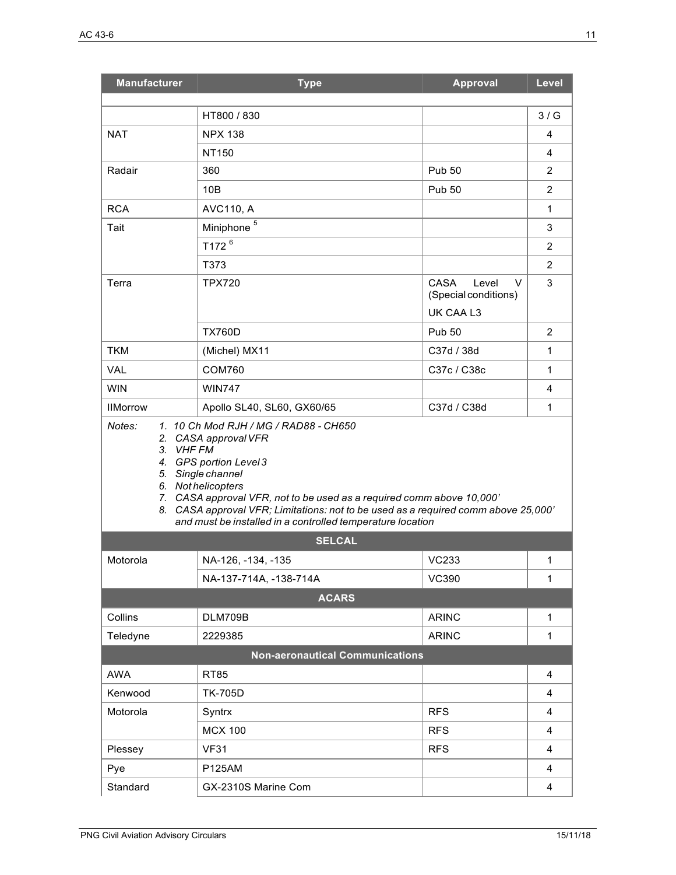| <b>Manufacturer</b> | <b>Type</b>                                                                                                                                                                                                                                                                                    | <b>Approval</b>                                   | Level          |
|---------------------|------------------------------------------------------------------------------------------------------------------------------------------------------------------------------------------------------------------------------------------------------------------------------------------------|---------------------------------------------------|----------------|
|                     |                                                                                                                                                                                                                                                                                                |                                                   |                |
|                     | HT800 / 830                                                                                                                                                                                                                                                                                    |                                                   | 3/G            |
| <b>NAT</b>          | <b>NPX 138</b><br><b>NT150</b>                                                                                                                                                                                                                                                                 |                                                   | 4<br>4         |
| Radair              | 360                                                                                                                                                                                                                                                                                            | <b>Pub 50</b>                                     | 2              |
|                     | 10B                                                                                                                                                                                                                                                                                            | <b>Pub 50</b>                                     | 2              |
| <b>RCA</b>          | <b>AVC110, A</b>                                                                                                                                                                                                                                                                               |                                                   | 1              |
| Tait                | Miniphone <sup>5</sup>                                                                                                                                                                                                                                                                         |                                                   | 3              |
|                     | T172 <sup>6</sup>                                                                                                                                                                                                                                                                              |                                                   | 2              |
|                     | T373                                                                                                                                                                                                                                                                                           |                                                   | 2              |
| Terra               | <b>TPX720</b>                                                                                                                                                                                                                                                                                  | <b>CASA</b><br>Level<br>V<br>(Special conditions) | 3              |
|                     |                                                                                                                                                                                                                                                                                                | UK CAA L3                                         |                |
|                     | <b>TX760D</b>                                                                                                                                                                                                                                                                                  | <b>Pub 50</b>                                     | $\overline{2}$ |
| <b>TKM</b>          | (Michel) MX11                                                                                                                                                                                                                                                                                  | C37d / 38d                                        | $\mathbf 1$    |
| VAL                 | <b>COM760</b>                                                                                                                                                                                                                                                                                  | C37c / C38c                                       | $\mathbf 1$    |
| <b>WIN</b>          | <b>WIN747</b>                                                                                                                                                                                                                                                                                  |                                                   | 4              |
| <b>IIMorrow</b>     | Apollo SL40, SL60, GX60/65                                                                                                                                                                                                                                                                     | C37d / C38d                                       | $\mathbf 1$    |
|                     | 4. GPS portion Level 3<br>5. Single channel<br>6. Not helicopters<br>7. CASA approval VFR, not to be used as a required comm above 10,000'<br>8. CASA approval VFR; Limitations: not to be used as a required comm above 25,000'<br>and must be installed in a controlled temperature location |                                                   |                |
|                     | <b>SELCAL</b>                                                                                                                                                                                                                                                                                  |                                                   |                |
| Motorola            | NA-126, -134, -135                                                                                                                                                                                                                                                                             | <b>VC233</b>                                      | 1              |
|                     | NA-137-714A, -138-714A                                                                                                                                                                                                                                                                         | <b>VC390</b>                                      | 1              |
|                     | <b>ACARS</b>                                                                                                                                                                                                                                                                                   |                                                   |                |
| Collins             | DLM709B                                                                                                                                                                                                                                                                                        | <b>ARINC</b>                                      | $\mathbf{1}$   |
| Teledyne            | 2229385                                                                                                                                                                                                                                                                                        | <b>ARINC</b>                                      | $\mathbf{1}$   |
|                     | <b>Non-aeronautical Communications</b>                                                                                                                                                                                                                                                         |                                                   |                |
| <b>AWA</b>          | <b>RT85</b>                                                                                                                                                                                                                                                                                    |                                                   | 4              |
| Kenwood             | <b>TK-705D</b>                                                                                                                                                                                                                                                                                 |                                                   | 4              |
| Motorola            | Syntrx                                                                                                                                                                                                                                                                                         | <b>RFS</b>                                        | 4              |
|                     | <b>MCX 100</b>                                                                                                                                                                                                                                                                                 | <b>RFS</b>                                        | 4              |
| Plessey             | <b>VF31</b>                                                                                                                                                                                                                                                                                    | <b>RFS</b>                                        | 4              |
| Pye                 | <b>P125AM</b>                                                                                                                                                                                                                                                                                  |                                                   | 4              |
| Standard            | GX-2310S Marine Com                                                                                                                                                                                                                                                                            |                                                   | $\overline{4}$ |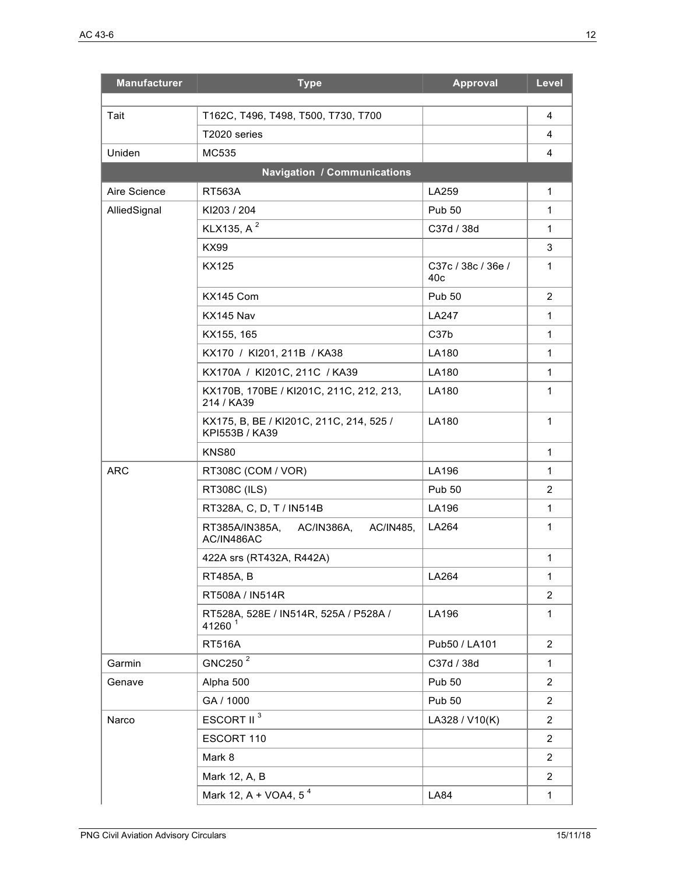| <b>Manufacturer</b> | <b>Type</b>                                                 | <b>Approval</b>           | Level          |
|---------------------|-------------------------------------------------------------|---------------------------|----------------|
| Tait                | T162C, T496, T498, T500, T730, T700                         |                           | $\overline{4}$ |
|                     | T2020 series                                                |                           | 4              |
| Uniden              | MC535                                                       |                           | 4              |
|                     | <b>Navigation / Communications</b>                          |                           |                |
| Aire Science        | <b>RT563A</b>                                               | LA259                     | 1              |
| AlliedSignal        | KI203 / 204                                                 | <b>Pub 50</b>             | $\mathbf 1$    |
|                     | KLX135, A <sup>2</sup>                                      | C37d / 38d                | $\mathbf 1$    |
|                     | <b>KX99</b>                                                 |                           | 3              |
|                     | KX125                                                       | C37c / 38c / 36e /<br>40c | 1              |
|                     | KX145 Com                                                   | <b>Pub 50</b>             | 2              |
|                     | KX145 Nav                                                   | <b>LA247</b>              | $\mathbf 1$    |
|                     | KX155, 165                                                  | C37b                      | $\mathbf{1}$   |
|                     | KX170 / KI201, 211B / KA38                                  | LA180                     | $\mathbf 1$    |
|                     | KX170A / KI201C, 211C / KA39                                | LA180                     | 1              |
|                     | KX170B, 170BE / KI201C, 211C, 212, 213,<br>214 / KA39       | LA180                     | 1              |
|                     | KX175, B, BE / KI201C, 211C, 214, 525 /<br>KPI553B / KA39   | <b>LA180</b>              | $\mathbf{1}$   |
|                     | <b>KNS80</b>                                                |                           | 1              |
| <b>ARC</b>          | RT308C (COM / VOR)                                          | LA196                     | 1              |
|                     | <b>RT308C (ILS)</b>                                         | <b>Pub 50</b>             | 2              |
|                     | RT328A, C, D, T / IN514B                                    | LA196                     | $\mathbf{1}$   |
|                     | RT385A/IN385A,<br>AC/IN386A,<br>AC/IN485.<br>AC/IN486AC     | LA264                     | 1              |
|                     | 422A srs (RT432A, R442A)                                    |                           | $\mathbf{1}$   |
|                     | <b>RT485A, B</b>                                            | LA264                     | 1              |
|                     | RT508A / IN514R                                             |                           | 2              |
|                     | RT528A, 528E / IN514R, 525A / P528A /<br>41260 <sup>1</sup> | LA196                     | 1              |
|                     | <b>RT516A</b>                                               | Pub50 / LA101             | $\overline{2}$ |
| Garmin              | GNC250 $^2$                                                 | C37d / 38d                | 1              |
| Genave              | Alpha 500                                                   | <b>Pub 50</b>             | $\overline{2}$ |
|                     | GA / 1000                                                   | <b>Pub 50</b>             | $\overline{2}$ |
| Narco               | ESCORT II <sup>3</sup>                                      | LA328 / V10(K)            | $\overline{2}$ |
|                     | ESCORT 110                                                  |                           | $\overline{2}$ |
|                     | Mark 8                                                      |                           | 2              |
|                     | Mark 12, A, B                                               |                           | $\overline{2}$ |
|                     | Mark 12, A + VOA4, 5 <sup>4</sup>                           | <b>LA84</b>               | $\mathbf 1$    |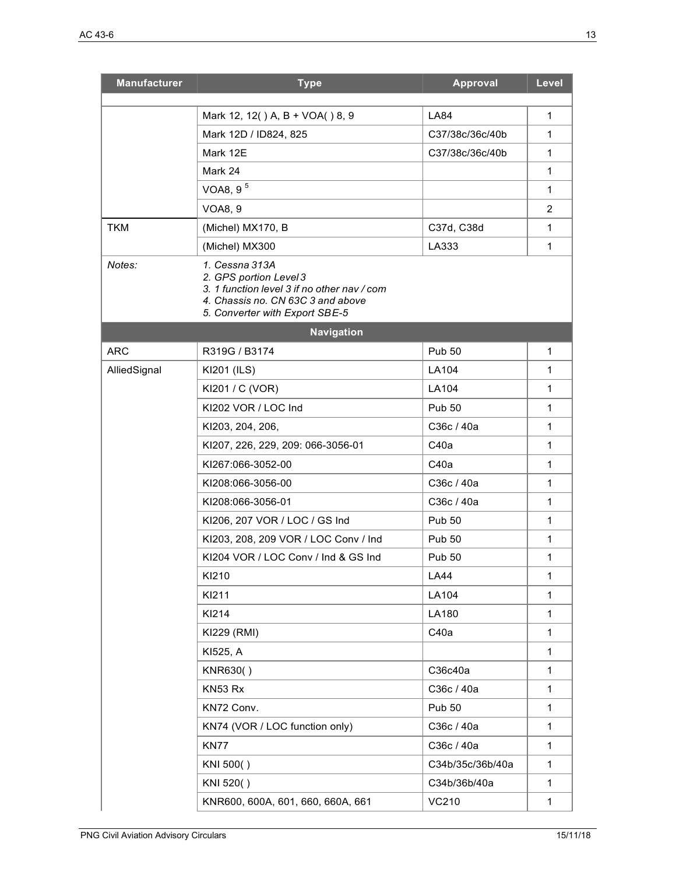| <b>Manufacturer</b> | <b>Type</b>                                                                                                                                                    | <b>Approval</b>  | Level          |
|---------------------|----------------------------------------------------------------------------------------------------------------------------------------------------------------|------------------|----------------|
|                     | Mark 12, 12() A, B + VOA() 8, 9                                                                                                                                | <b>LA84</b>      | $\mathbf{1}$   |
|                     | Mark 12D / ID824, 825                                                                                                                                          | C37/38c/36c/40b  | 1              |
|                     | Mark 12E                                                                                                                                                       | C37/38c/36c/40b  | 1              |
|                     | Mark 24                                                                                                                                                        |                  | 1              |
|                     | VOA8, 9 <sup>5</sup>                                                                                                                                           |                  | 1              |
|                     | <b>VOA8, 9</b>                                                                                                                                                 |                  | $\overline{2}$ |
| <b>TKM</b>          | (Michel) MX170, B                                                                                                                                              | C37d, C38d       | 1              |
|                     | (Michel) MX300                                                                                                                                                 | LA333            | 1              |
| Notes:              | 1. Cessna 313A<br>2. GPS portion Level 3<br>3. 1 function level 3 if no other nav / com<br>4. Chassis no. CN 63C 3 and above<br>5. Converter with Export SBE-5 |                  |                |
|                     | <b>Navigation</b>                                                                                                                                              |                  |                |
| <b>ARC</b>          | R319G / B3174                                                                                                                                                  | <b>Pub 50</b>    | 1              |
| AlliedSignal        | KI201 (ILS)                                                                                                                                                    | LA104            | 1              |
|                     | KI201 / C (VOR)                                                                                                                                                | LA104            | 1              |
|                     | KI202 VOR / LOC Ind                                                                                                                                            | <b>Pub 50</b>    | 1              |
|                     | KI203, 204, 206,                                                                                                                                               | C36c / 40a       | 1              |
|                     | KI207, 226, 229, 209: 066-3056-01                                                                                                                              | C40a             | 1              |
|                     | KI267:066-3052-00                                                                                                                                              | C40a             | 1              |
|                     | KI208:066-3056-00                                                                                                                                              | C36c / 40a       | 1              |
|                     | KI208:066-3056-01                                                                                                                                              | C36c / 40a       | 1              |
|                     | KI206, 207 VOR / LOC / GS Ind                                                                                                                                  | <b>Pub 50</b>    | 1              |
|                     | KI203, 208, 209 VOR / LOC Conv / Ind                                                                                                                           | <b>Pub 50</b>    | 1              |
|                     | KI204 VOR / LOC Conv / Ind & GS Ind                                                                                                                            | <b>Pub 50</b>    | 1              |
|                     | KI210                                                                                                                                                          | <b>LA44</b>      | 1              |
|                     | KI211                                                                                                                                                          | LA104            | 1              |
|                     | KI214                                                                                                                                                          | LA180            | $\mathbf{1}$   |
|                     | KI229 (RMI)                                                                                                                                                    | C40a             | 1              |
|                     | KI525, A                                                                                                                                                       |                  | $\mathbf{1}$   |
|                     | KNR630()                                                                                                                                                       | C36c40a          | 1              |
|                     | KN53 Rx                                                                                                                                                        | C36c / 40a       | 1              |
|                     | KN72 Conv.                                                                                                                                                     | <b>Pub 50</b>    | 1              |
|                     | KN74 (VOR / LOC function only)                                                                                                                                 | C36c / 40a       | $\mathbf{1}$   |
|                     | <b>KN77</b>                                                                                                                                                    | C36c / 40a       | $\mathbf{1}$   |
|                     | KNI 500()                                                                                                                                                      | C34b/35c/36b/40a | $\mathbf{1}$   |
|                     | KNI 520()                                                                                                                                                      | C34b/36b/40a     | 1              |
|                     | KNR600, 600A, 601, 660, 660A, 661                                                                                                                              | <b>VC210</b>     | 1              |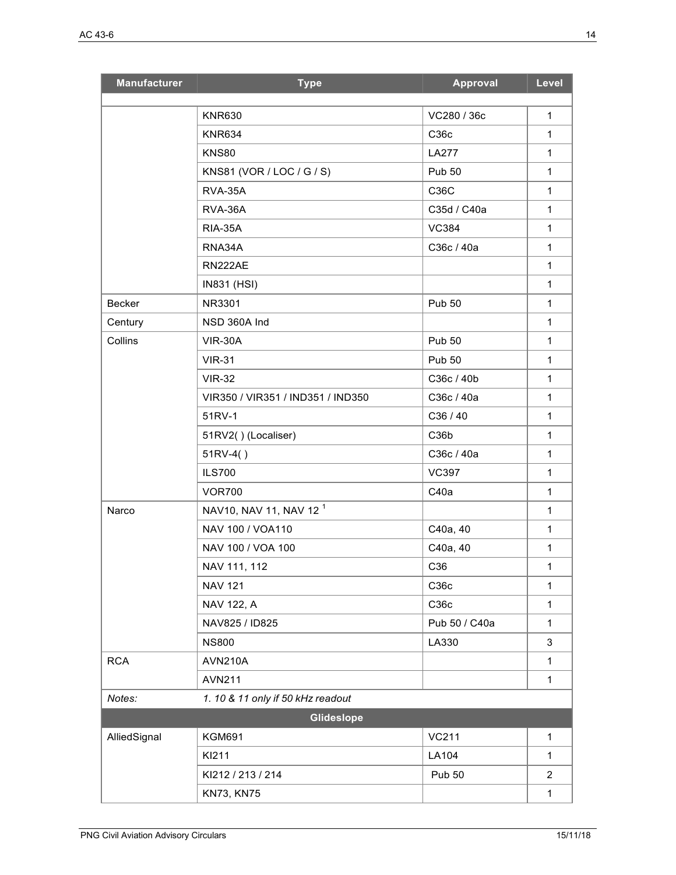| <b>Manufacturer</b> | <b>Type</b>                        | Approval          | Level          |
|---------------------|------------------------------------|-------------------|----------------|
|                     | <b>KNR630</b>                      | VC280 / 36c       | $\mathbf{1}$   |
|                     | <b>KNR634</b>                      | C36c              | 1              |
|                     | <b>KNS80</b>                       | LA277             | $\mathbf{1}$   |
|                     | KNS81 (VOR / LOC / G / S)          | <b>Pub 50</b>     | 1              |
|                     | RVA-35A                            | C36C              | $\mathbf{1}$   |
|                     | RVA-36A                            | C35d / C40a       | $\mathbf{1}$   |
|                     | <b>RIA-35A</b>                     | <b>VC384</b>      | $\mathbf{1}$   |
|                     | RNA34A                             | C36c / 40a        | 1              |
|                     | RN222AE                            |                   | $\mathbf{1}$   |
|                     | <b>IN831 (HSI)</b>                 |                   | $\mathbf{1}$   |
| Becker              | NR3301                             | <b>Pub 50</b>     | 1              |
| Century             | NSD 360A Ind                       |                   | $\mathbf{1}$   |
| Collins             | <b>VIR-30A</b>                     | <b>Pub 50</b>     | $\mathbf{1}$   |
|                     | <b>VIR-31</b>                      | <b>Pub 50</b>     | $\mathbf{1}$   |
|                     | <b>VIR-32</b>                      | C36c / 40b        | $\mathbf{1}$   |
|                     | VIR350 / VIR351 / IND351 / IND350  | C36c / 40a        | 1              |
|                     | 51RV-1                             | C36 / 40          | $\mathbf{1}$   |
|                     | 51RV2()(Localiser)                 | C <sub>36</sub> b | $\mathbf{1}$   |
|                     | $51RV-4()$                         | C36c / 40a        | $\mathbf{1}$   |
|                     | <b>ILS700</b>                      | <b>VC397</b>      | $\mathbf{1}$   |
|                     | <b>VOR700</b>                      | C40a              | 1              |
| Narco               | NAV10, NAV 11, NAV 12 <sup>1</sup> |                   | $\mathbf{1}$   |
|                     | NAV 100 / VOA110                   | C40a, 40          | 1              |
|                     | NAV 100 / VOA 100                  | C40a, 40          | 1              |
|                     | NAV 111, 112                       | C36               | 1              |
|                     | <b>NAV 121</b>                     | C36c              | $\mathbf{1}$   |
|                     | NAV 122, A                         | C36c              | $\mathbf{1}$   |
|                     | NAV825 / ID825                     | Pub 50 / C40a     | $\mathbf 1$    |
|                     | <b>NS800</b>                       | LA330             | 3              |
| <b>RCA</b>          | <b>AVN210A</b>                     |                   | $\mathbf{1}$   |
|                     | <b>AVN211</b>                      |                   | $\mathbf 1$    |
| Notes:              | 1. 10 & 11 only if 50 kHz readout  |                   |                |
|                     | Glideslope                         |                   |                |
| AlliedSignal        | <b>KGM691</b>                      | <b>VC211</b>      | $\mathbf{1}$   |
|                     | KI211                              | LA104             | 1              |
|                     | KI212 / 213 / 214                  | <b>Pub 50</b>     | $\overline{2}$ |
|                     | <b>KN73, KN75</b>                  |                   | $\mathbf 1$    |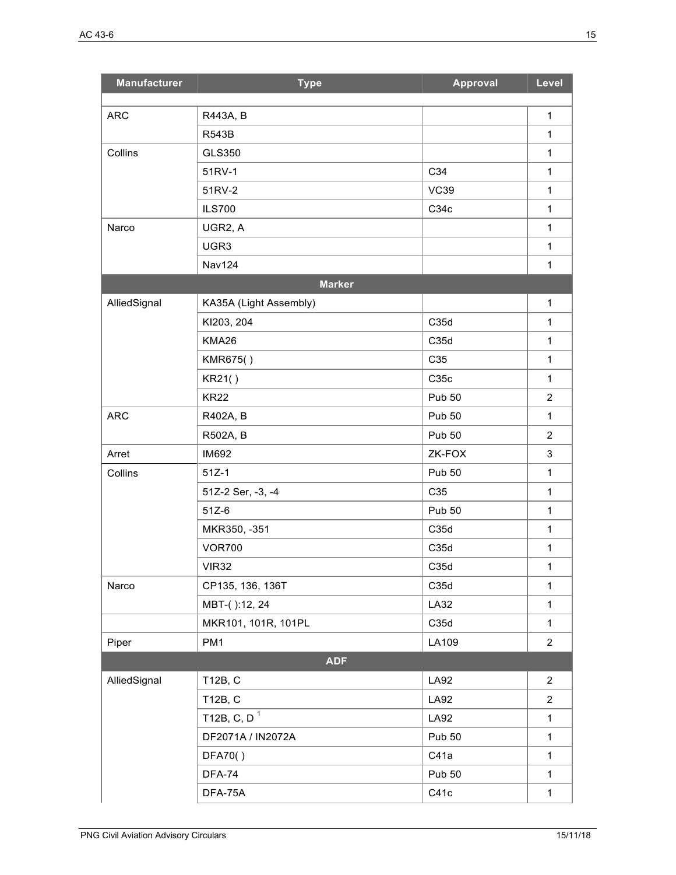| <b>Manufacturer</b> | <b>Type</b>             | <b>Approval</b> | Level          |
|---------------------|-------------------------|-----------------|----------------|
| <b>ARC</b>          | R443A, B                |                 | $\mathbf{1}$   |
|                     | <b>R543B</b>            |                 | $\mathbf{1}$   |
| Collins             | GLS350                  |                 | $\mathbf{1}$   |
|                     | 51RV-1                  | C34             | $\mathbf{1}$   |
|                     | 51RV-2                  | <b>VC39</b>     | $\mathbf{1}$   |
|                     | <b>ILS700</b>           | C34c            | $\mathbf{1}$   |
| Narco               | UGR2, A                 |                 | $\mathbf{1}$   |
|                     | UGR3                    |                 | 1              |
|                     | <b>Nav124</b>           |                 | 1              |
|                     | <b>Marker</b>           |                 |                |
| AlliedSignal        | KA35A (Light Assembly)  |                 | $\mathbf{1}$   |
|                     | KI203, 204              | C35d            | $\mathbf{1}$   |
|                     | KMA26                   | C35d            | 1              |
|                     | KMR675()                | C35             | $\mathbf{1}$   |
|                     | KR21()                  | C35c            | 1              |
|                     | <b>KR22</b>             | <b>Pub 50</b>   | $\overline{2}$ |
| <b>ARC</b>          | R402A, B                | <b>Pub 50</b>   | $\mathbf{1}$   |
|                     | R502A, B                | <b>Pub 50</b>   | $\overline{2}$ |
| Arret               | <b>IM692</b>            | ZK-FOX          | $\mathbf{3}$   |
| Collins             | $51Z-1$                 | <b>Pub 50</b>   | $\mathbf{1}$   |
|                     | 51Z-2 Ser, -3, -4       | C35             | 1              |
|                     | $51Z-6$                 | <b>Pub 50</b>   | $\mathbf{1}$   |
|                     | MKR350, -351            | C35d            | $\mathbf{1}$   |
|                     | <b>VOR700</b>           | C35d            | $\mathbf{1}$   |
|                     | <b>VIR32</b>            | C35d            | $\mathbf{1}$   |
| Narco               | CP135, 136, 136T        | C35d            | $\mathbf{1}$   |
|                     | MBT-():12, 24           | LA32            | $\mathbf{1}$   |
|                     | MKR101, 101R, 101PL     | C35d            | 1              |
| Piper               | PM1                     | LA109           | $\overline{2}$ |
|                     | <b>ADF</b>              |                 |                |
| AlliedSignal        | T12B, C                 | <b>LA92</b>     | $\overline{2}$ |
|                     | T12B, C                 | LA92            | $\overline{2}$ |
|                     | T12B, C, D <sup>1</sup> | LA92            | $\mathbf{1}$   |
|                     | DF2071A / IN2072A       | <b>Pub 50</b>   | 1              |
|                     | DFA70()                 | C41a            | $\mathbf{1}$   |
|                     | <b>DFA-74</b>           | <b>Pub 50</b>   | $\mathbf{1}$   |
|                     | DFA-75A                 | C41c            | $\mathbf{1}$   |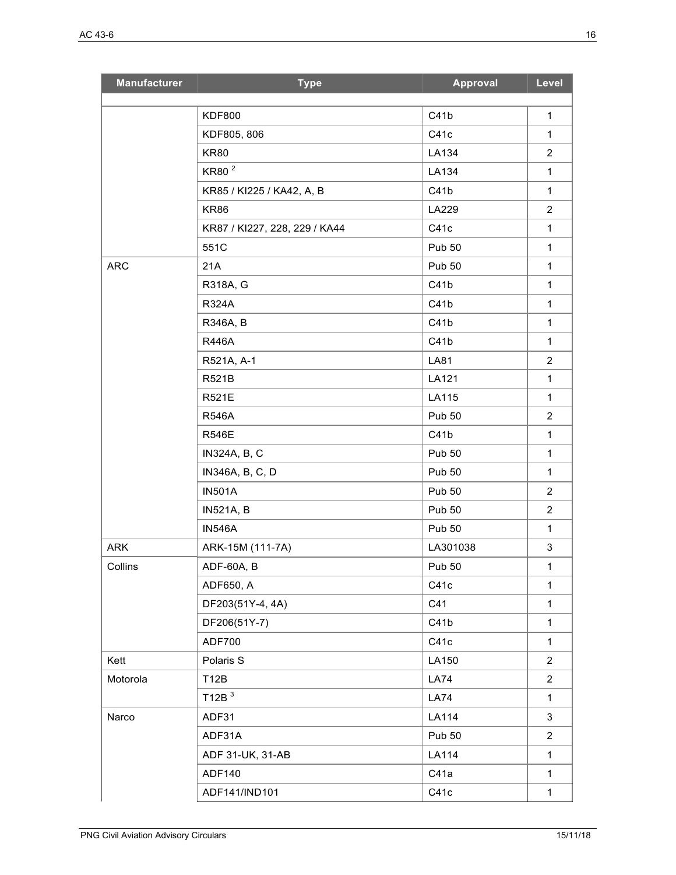| <b>Manufacturer</b> | <b>Type</b>                   | Approval      | Level          |
|---------------------|-------------------------------|---------------|----------------|
|                     | <b>KDF800</b>                 | C41b          | $\mathbf{1}$   |
|                     | KDF805, 806                   | C41c          | $\mathbf{1}$   |
|                     | <b>KR80</b>                   | LA134         | $\overline{2}$ |
|                     | KR80 <sup>2</sup>             | LA134         | $\mathbf{1}$   |
|                     | KR85 / KI225 / KA42, A, B     | C41b          | $\mathbf{1}$   |
|                     | <b>KR86</b>                   | LA229         | $\overline{2}$ |
|                     | KR87 / KI227, 228, 229 / KA44 | C41c          | $\mathbf{1}$   |
|                     | 551C                          | <b>Pub 50</b> | $\mathbf{1}$   |
| <b>ARC</b>          | 21A                           | <b>Pub 50</b> | $\mathbf{1}$   |
|                     | R318A, G                      | C41b          | $\mathbf{1}$   |
|                     | R324A                         | C41b          | $\mathbf{1}$   |
|                     | R346A, B                      | C41b          | $\mathbf{1}$   |
|                     | <b>R446A</b>                  | C41b          | $\mathbf{1}$   |
|                     | R521A, A-1                    | LA81          | $\overline{2}$ |
|                     | R521B                         | LA121         | $\mathbf{1}$   |
|                     | R521E                         | LA115         | 1              |
|                     | <b>R546A</b>                  | <b>Pub 50</b> | $\overline{2}$ |
|                     | <b>R546E</b>                  | C41b          | $\mathbf{1}$   |
|                     | IN324A, B, C                  | <b>Pub 50</b> | $\mathbf{1}$   |
|                     | IN346A, B, C, D               | <b>Pub 50</b> | $\mathbf{1}$   |
|                     | <b>IN501A</b>                 | <b>Pub 50</b> | $\overline{2}$ |
|                     | <b>IN521A, B</b>              | <b>Pub 50</b> | $\overline{2}$ |
|                     | <b>IN546A</b>                 | <b>Pub 50</b> | $\mathbf{1}$   |
| <b>ARK</b>          | ARK-15M (111-7A)              | LA301038      | 3              |
| Collins             | ADF-60A, B                    | <b>Pub 50</b> | $\mathbf{1}$   |
|                     | ADF650, A                     | C41c          | $\mathbf{1}$   |
|                     | DF203(51Y-4, 4A)              | C41           | $\mathbf{1}$   |
|                     | DF206(51Y-7)                  | C41b          | $\mathbf{1}$   |
|                     | <b>ADF700</b>                 | C41c          | $\mathbf{1}$   |
| Kett                | Polaris S                     | LA150         | $\overline{2}$ |
| Motorola            | T12B                          | <b>LA74</b>   | $\overline{2}$ |
|                     | T12B $3$                      | <b>LA74</b>   | $\mathbf{1}$   |
| Narco               | ADF31                         | <b>LA114</b>  | 3              |
|                     | ADF31A                        | <b>Pub 50</b> | $\overline{2}$ |
|                     | ADF 31-UK, 31-AB              | LA114         | $\mathbf{1}$   |
|                     | <b>ADF140</b>                 | C41a          | $\mathbf{1}$   |
|                     | ADF141/IND101                 | C41c          | $\mathbf{1}$   |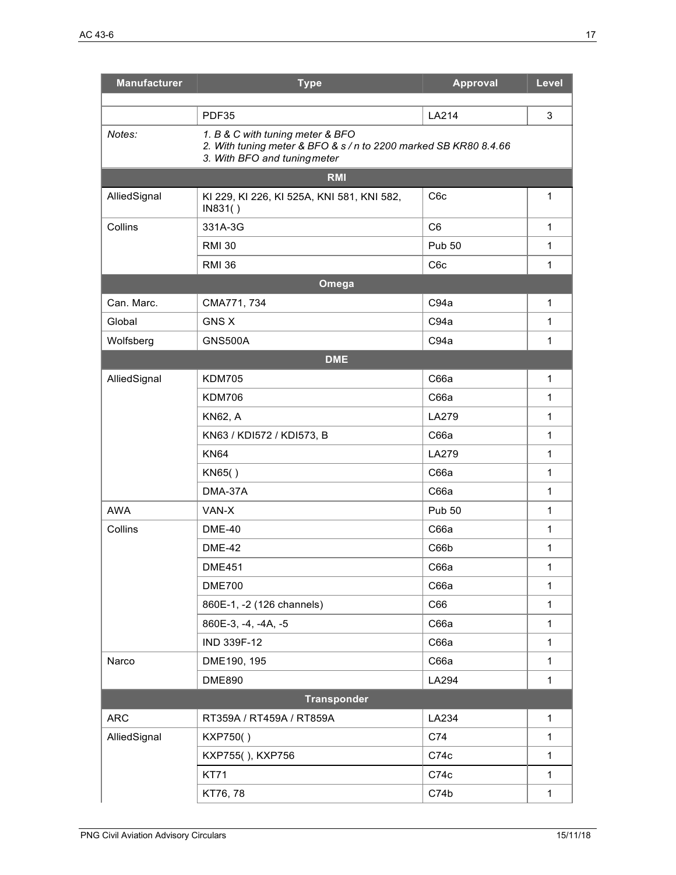| <b>Manufacturer</b> | <b>Type</b>                                                                                                                          | <b>Approval</b>  | Level        |
|---------------------|--------------------------------------------------------------------------------------------------------------------------------------|------------------|--------------|
|                     | PDF35                                                                                                                                | LA214            | $\mathbf{3}$ |
| Notes:              | 1. B & C with tuning meter & BFO<br>2. With tuning meter & BFO & s / n to 2200 marked SB KR80 8.4.66<br>3. With BFO and tuning meter |                  |              |
|                     | <b>RMI</b>                                                                                                                           |                  |              |
| AlliedSignal        | KI 229, KI 226, KI 525A, KNI 581, KNI 582,<br>IN831()                                                                                | C <sub>6</sub> c | 1            |
| Collins             | 331A-3G                                                                                                                              | C <sub>6</sub>   | $\mathbf{1}$ |
|                     | <b>RMI 30</b>                                                                                                                        | <b>Pub 50</b>    | $\mathbf{1}$ |
|                     | <b>RMI 36</b>                                                                                                                        | C <sub>6</sub> c | $\mathbf 1$  |
|                     | Omega                                                                                                                                |                  |              |
| Can. Marc.          | CMA771, 734                                                                                                                          | C94a             | $\mathbf{1}$ |
| Global              | <b>GNS X</b>                                                                                                                         | C94a             | 1            |
| Wolfsberg           | <b>GNS500A</b>                                                                                                                       | C94a             | $\mathbf{1}$ |
|                     | <b>DME</b>                                                                                                                           |                  |              |
| AlliedSignal        | <b>KDM705</b>                                                                                                                        | C66a             | $\mathbf{1}$ |
|                     | <b>KDM706</b>                                                                                                                        | C66a             | $\mathbf{1}$ |
|                     | <b>KN62, A</b>                                                                                                                       | <b>LA279</b>     | $\mathbf 1$  |
|                     | KN63 / KDI572 / KDI573, B                                                                                                            | C66a             | $\mathbf 1$  |
|                     | <b>KN64</b>                                                                                                                          | LA279            | $\mathbf{1}$ |
|                     | KN65()                                                                                                                               | C66a             | $\mathbf{1}$ |
|                     | DMA-37A                                                                                                                              | C66a             | $\mathbf{1}$ |
| <b>AWA</b>          | VAN-X                                                                                                                                | <b>Pub 50</b>    | $\mathbf{1}$ |
| Collins             | <b>DME-40</b>                                                                                                                        | C66a             | $\mathbf{1}$ |
|                     | <b>DME-42</b>                                                                                                                        | C66b             | $\mathbf{1}$ |
|                     | <b>DME451</b>                                                                                                                        | C66a             | 1            |
|                     | <b>DME700</b>                                                                                                                        | C66a             | $\mathbf{1}$ |
|                     | 860E-1, -2 (126 channels)                                                                                                            | C66              | $\mathbf{1}$ |
|                     | 860E-3, -4, -4A, -5                                                                                                                  | C66a             | $\mathbf{1}$ |
|                     | IND 339F-12                                                                                                                          | C66a             | $\mathbf{1}$ |
| Narco               | DME190, 195                                                                                                                          | C66a             | $\mathbf{1}$ |
|                     | <b>DME890</b>                                                                                                                        | LA294            | $\mathbf{1}$ |
|                     | <b>Transponder</b>                                                                                                                   |                  |              |
| <b>ARC</b>          | RT359A / RT459A / RT859A                                                                                                             | LA234            | $\mathbf{1}$ |
| AlliedSignal        | KXP750()                                                                                                                             | C74              | $\mathbf{1}$ |
|                     | KXP755(), KXP756                                                                                                                     | C74c             | $\mathbf{1}$ |
|                     | <b>KT71</b>                                                                                                                          | C74c             | $\mathbf{1}$ |
|                     | KT76, 78                                                                                                                             | C74b             | $\mathbf{1}$ |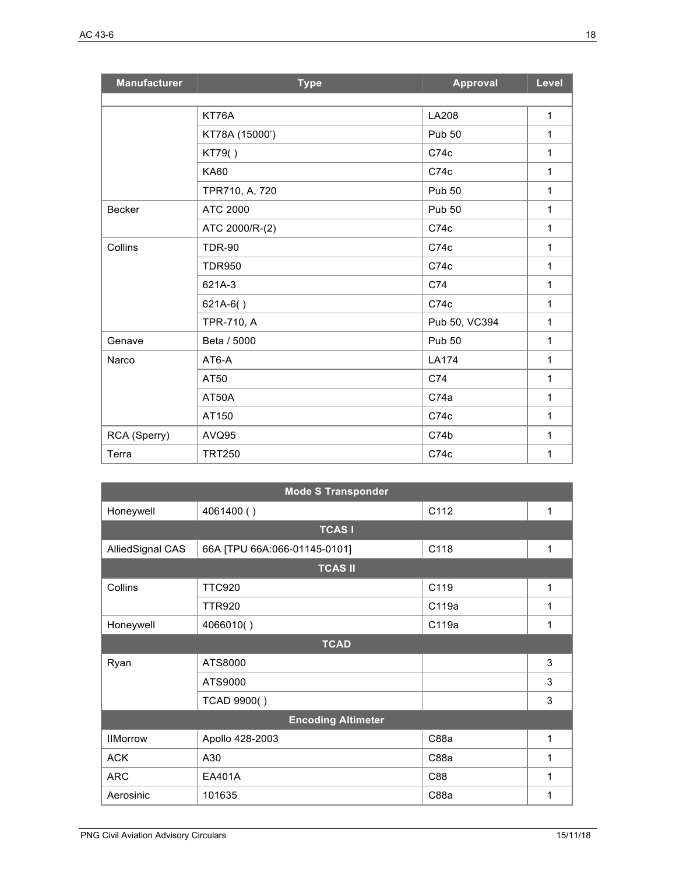| <b>Manufacturer</b> | <b>Type</b>    | <b>Approval</b> | Level        |
|---------------------|----------------|-----------------|--------------|
|                     |                |                 |              |
|                     | KT76A          | <b>LA208</b>    | 1            |
|                     | KT78A (15000') | <b>Pub 50</b>   | $\mathbf{1}$ |
|                     | KT79()         | C74c            | 1            |
|                     | <b>KA60</b>    | C74c            | 1            |
|                     | TPR710, A, 720 | <b>Pub 50</b>   | 1            |
| <b>Becker</b>       | ATC 2000       | <b>Pub 50</b>   | 1            |
|                     | ATC 2000/R-(2) | C74c            | 1            |
| Collins             | <b>TDR-90</b>  | C74c            | 1            |
|                     | <b>TDR950</b>  | C74c            | $\mathbf{1}$ |
|                     | 621A-3         | C74             | 1            |
|                     | $621A-6()$     | C74c            | 1            |
|                     | TPR-710, A     | Pub 50, VC394   | 1            |
| Genave              | Beta / 5000    | <b>Pub 50</b>   | 1            |
| Narco               | AT6-A          | LA174           | 1            |
|                     | AT50           | C74             | 1            |
|                     | AT50A          | C74a            | $\mathbf{1}$ |
|                     | AT150          | C74c            | $\mathbf{1}$ |
| RCA (Sperry)        | AVQ95          | C74b            | 1            |
| Terra               | <b>TRT250</b>  | C74c            | 1            |

| <b>Mode S Transponder</b> |                              |       |   |
|---------------------------|------------------------------|-------|---|
| Honeywell                 | 4061400 ()                   | C112  | 1 |
|                           | <b>TCASI</b>                 |       |   |
| AlliedSignal CAS          | 66A [TPU 66A:066-01145-0101] | C118  | 1 |
|                           | <b>TCAS II</b>               |       |   |
| Collins                   | <b>TTC920</b>                | C119  | 1 |
|                           | <b>TTR920</b>                | C119a | 1 |
| Honeywell                 | 4066010()                    | C119a | 1 |
| <b>TCAD</b>               |                              |       |   |
| Ryan                      | ATS8000                      |       | 3 |
|                           | ATS9000                      |       | 3 |
|                           | TCAD 9900()                  |       | 3 |
| <b>Encoding Altimeter</b> |                              |       |   |
| <b>IIMorrow</b>           | Apollo 428-2003              | C88a  | 1 |
| <b>ACK</b>                | A30                          | C88a  | 1 |
| <b>ARC</b>                | EA401A                       | C88   | 1 |
| Aerosinic                 | 101635                       | C88a  | 1 |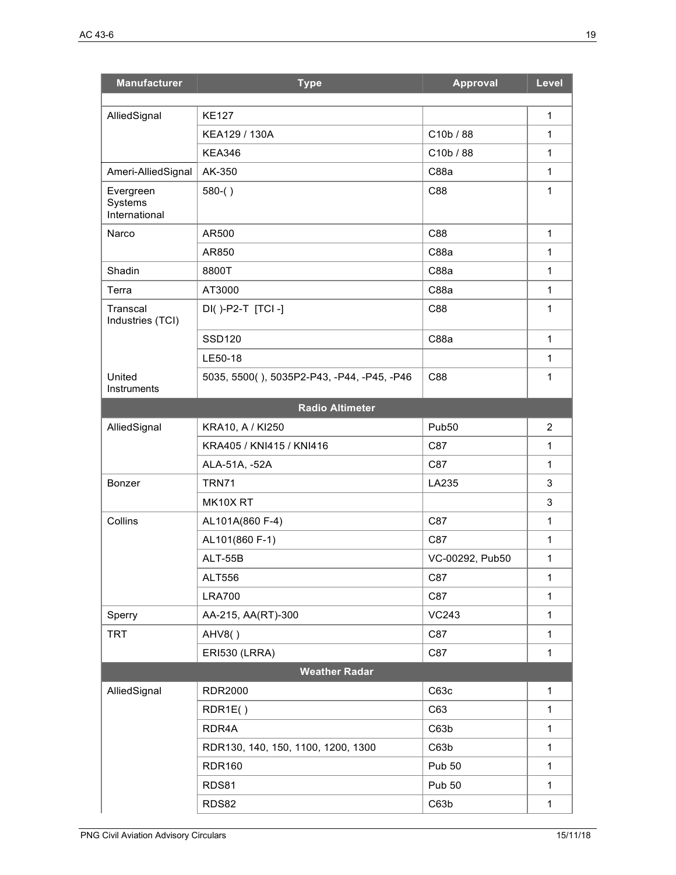| <b>Manufacturer</b>          | <b>Type</b>                                | <b>Approval</b> | Level          |  |
|------------------------------|--------------------------------------------|-----------------|----------------|--|
| AlliedSignal                 | <b>KE127</b>                               |                 | 1              |  |
|                              | KEA129 / 130A                              | C10b / 88       | 1              |  |
|                              | <b>KEA346</b>                              | C10b / 88       | $\mathbf{1}$   |  |
| Ameri-AlliedSignal           | AK-350                                     | C88a            | $\mathbf{1}$   |  |
| Evergreen                    | $580-()$                                   | C88             | 1              |  |
| Systems<br>International     |                                            |                 |                |  |
| Narco                        | AR500                                      | C88             | $\mathbf{1}$   |  |
|                              | AR850                                      | C88a            | 1              |  |
| Shadin                       | 8800T                                      | C88a            | $\mathbf 1$    |  |
| Terra                        | AT3000                                     | C88a            | $\mathbf{1}$   |  |
| Transcal<br>Industries (TCI) | DI()-P2-T [TCI-]                           | C88             | 1              |  |
|                              | <b>SSD120</b>                              | C88a            | $\mathbf{1}$   |  |
|                              | LE50-18                                    |                 | $\mathbf{1}$   |  |
| United<br>Instruments        | 5035, 5500(), 5035P2-P43, -P44, -P45, -P46 | C88             | 1              |  |
|                              | <b>Radio Altimeter</b>                     |                 |                |  |
| AlliedSignal                 | KRA10, A / KI250                           | Pub50           | $\overline{2}$ |  |
|                              | KRA405 / KNI415 / KNI416                   | C87             | $\mathbf{1}$   |  |
|                              | ALA-51A, -52A                              | C87             | $\mathbf{1}$   |  |
| Bonzer                       | <b>TRN71</b>                               | LA235           | 3              |  |
|                              | MK10XRT                                    |                 | 3              |  |
| Collins                      | AL101A(860 F-4)                            | C87             | 1              |  |
|                              | AL101(860 F-1)                             | C87             | 1              |  |
|                              | <b>ALT-55B</b>                             | VC-00292, Pub50 | $\mathbf{1}$   |  |
|                              | ALT556                                     | C87             | $\mathbf{1}$   |  |
|                              | <b>LRA700</b>                              | C87             | $\mathbf{1}$   |  |
| Sperry                       | AA-215, AA(RT)-300                         | <b>VC243</b>    | $\mathbf{1}$   |  |
| <b>TRT</b>                   | AHV8()                                     | C87             | $\mathbf{1}$   |  |
|                              | <b>ERI530 (LRRA)</b>                       | C87             | 1              |  |
| <b>Weather Radar</b>         |                                            |                 |                |  |
| AlliedSignal                 | <b>RDR2000</b>                             | C63c            | $\mathbf{1}$   |  |
|                              | RDR1E()                                    | C63             | $\mathbf{1}$   |  |
|                              | RDR4A                                      | C63b            | $\mathbf{1}$   |  |
|                              | RDR130, 140, 150, 1100, 1200, 1300         | C63b            | $\mathbf{1}$   |  |
|                              | <b>RDR160</b>                              | <b>Pub 50</b>   | $\mathbf{1}$   |  |
|                              | <b>RDS81</b>                               | <b>Pub 50</b>   | 1              |  |
|                              | <b>RDS82</b>                               | C63b            | $\mathbf{1}$   |  |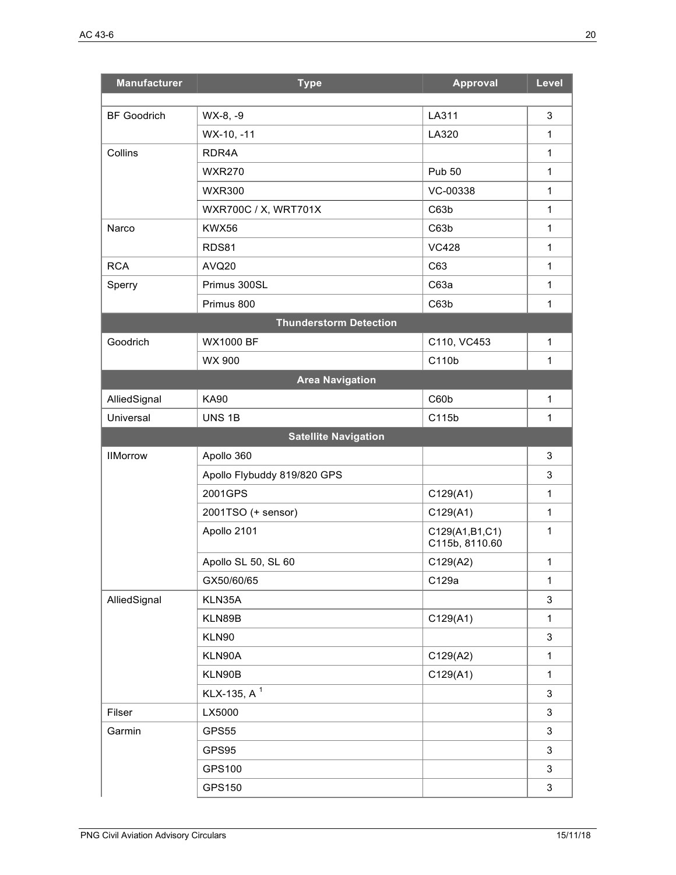| <b>Manufacturer</b> | <b>Type</b>                   | <b>Approval</b>                  | Level        |
|---------------------|-------------------------------|----------------------------------|--------------|
| <b>BF Goodrich</b>  | WX-8, -9                      | LA311                            | 3            |
|                     | WX-10, -11                    | LA320                            | $\mathbf{1}$ |
| Collins             | RDR4A                         |                                  | $\mathbf{1}$ |
|                     | <b>WXR270</b>                 | <b>Pub 50</b>                    | $\mathbf{1}$ |
|                     | <b>WXR300</b>                 | VC-00338                         | $\mathbf{1}$ |
|                     | WXR700C / X, WRT701X          | C63b                             | $\mathbf{1}$ |
| Narco               | KWX56                         | C63b                             | $\mathbf{1}$ |
|                     | RDS81                         | <b>VC428</b>                     | $\mathbf{1}$ |
| <b>RCA</b>          | AVQ20                         | C63                              | $\mathbf{1}$ |
| Sperry              | Primus 300SL                  | C63a                             | $\mathbf{1}$ |
|                     | Primus 800                    | C63b                             | $\mathbf{1}$ |
|                     | <b>Thunderstorm Detection</b> |                                  |              |
| Goodrich            | <b>WX1000 BF</b>              | C110, VC453                      | $\mathbf 1$  |
|                     | WX 900                        | C110b                            | $\mathbf{1}$ |
|                     | <b>Area Navigation</b>        |                                  |              |
| AlliedSignal        | <b>KA90</b>                   | C60b                             | $\mathbf{1}$ |
| Universal           | UNS <sub>1B</sub>             | C115b                            | 1            |
|                     | <b>Satellite Navigation</b>   |                                  |              |
| <b>IIMorrow</b>     | Apollo 360                    |                                  | 3            |
|                     | Apollo Flybuddy 819/820 GPS   |                                  | 3            |
|                     | 2001GPS                       | C129(A1)                         | $\mathbf{1}$ |
|                     | 2001TSO (+ sensor)            | C129(A1)                         | $\mathbf{1}$ |
|                     | Apollo 2101                   | C129(A1,B1,C1)<br>C115b, 8110.60 | $\mathbf{1}$ |
|                     | Apollo SL 50, SL 60           | C129(A2)                         | $\mathbf{1}$ |
|                     | GX50/60/65                    | C129a                            | $\mathbf{1}$ |
| AlliedSignal        | KLN35A                        |                                  | 3            |
|                     | KLN89B                        | C129(A1)                         | $\mathbf 1$  |
|                     | KLN90                         |                                  | 3            |
|                     | KLN90A                        | C129(A2)                         | $\mathbf{1}$ |
|                     | KLN90B                        | C129(A1)                         | $\mathbf 1$  |
|                     | KLX-135, A <sup>1</sup>       |                                  | 3            |
| Filser              | LX5000                        |                                  | 3            |
| Garmin              | GPS55                         |                                  | 3            |
|                     | GPS95                         |                                  | 3            |
|                     | GPS100                        |                                  | 3            |
|                     | GPS150                        |                                  | 3            |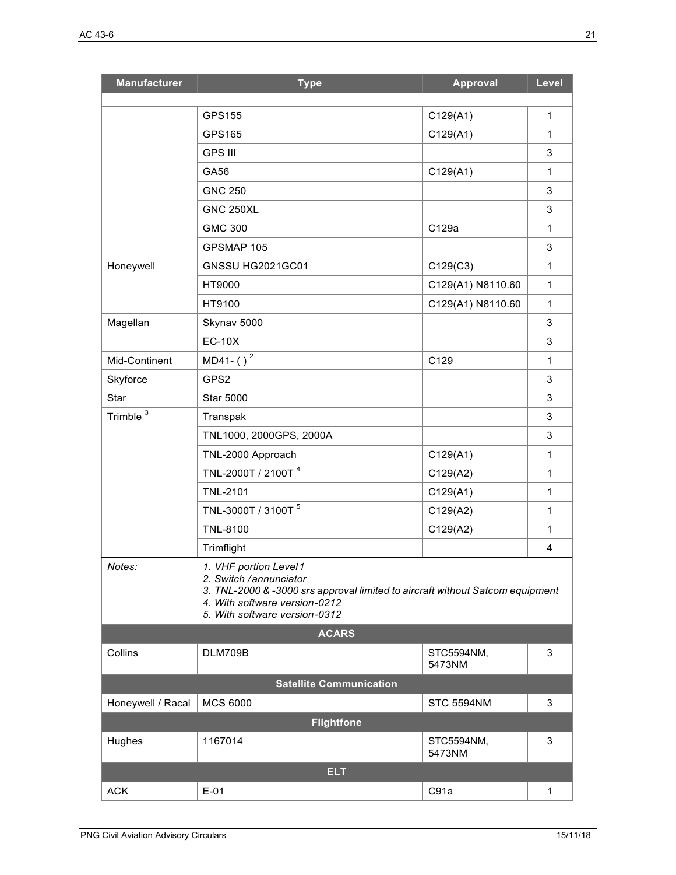| <b>Manufacturer</b>            | <b>Type</b>                                                                                                                                                                                         | <b>Approval</b>      | Level        |
|--------------------------------|-----------------------------------------------------------------------------------------------------------------------------------------------------------------------------------------------------|----------------------|--------------|
|                                |                                                                                                                                                                                                     |                      |              |
|                                | GPS155                                                                                                                                                                                              | C129(A1)             | $\mathbf{1}$ |
|                                | GPS165                                                                                                                                                                                              | C129(A1)             | $\mathbf{1}$ |
|                                | <b>GPS III</b>                                                                                                                                                                                      |                      | 3            |
|                                | GA56                                                                                                                                                                                                | C129(A1)             | $\mathbf{1}$ |
|                                | <b>GNC 250</b>                                                                                                                                                                                      |                      | 3            |
|                                | <b>GNC 250XL</b>                                                                                                                                                                                    |                      | 3            |
|                                | <b>GMC 300</b>                                                                                                                                                                                      | C129a                | $\mathbf{1}$ |
|                                | GPSMAP 105                                                                                                                                                                                          |                      | 3            |
| Honeywell                      | GNSSU HG2021GC01                                                                                                                                                                                    | C129(C3)             | $\mathbf{1}$ |
|                                | HT9000                                                                                                                                                                                              | C129(A1) N8110.60    | $\mathbf{1}$ |
|                                | HT9100                                                                                                                                                                                              | C129(A1) N8110.60    | $\mathbf{1}$ |
| Magellan                       | Skynav 5000                                                                                                                                                                                         |                      | 3            |
|                                | <b>EC-10X</b>                                                                                                                                                                                       |                      | 3            |
| Mid-Continent                  | MD41-( $)$ <sup>2</sup>                                                                                                                                                                             | C129                 | $\mathbf{1}$ |
| Skyforce                       | GPS2                                                                                                                                                                                                |                      | 3            |
| Star                           | <b>Star 5000</b>                                                                                                                                                                                    |                      | 3            |
| Trimble <sup>3</sup>           | Transpak                                                                                                                                                                                            |                      | 3            |
|                                | TNL1000, 2000GPS, 2000A                                                                                                                                                                             |                      | 3            |
|                                | TNL-2000 Approach                                                                                                                                                                                   | C129(A1)             | $\mathbf{1}$ |
|                                | TNL-2000T / 2100T <sup>4</sup>                                                                                                                                                                      | C129(A2)             | $\mathbf{1}$ |
|                                | <b>TNL-2101</b>                                                                                                                                                                                     | C129(A1)             | $\mathbf{1}$ |
|                                | TNL-3000T / 3100T <sup>5</sup>                                                                                                                                                                      | C129(A2)             | $\mathbf{1}$ |
|                                | <b>TNL-8100</b>                                                                                                                                                                                     | C129(A2)             | $\mathbf{1}$ |
|                                | Trimflight                                                                                                                                                                                          |                      | 4            |
| Notes:                         | 1. VHF portion Level1<br>2. Switch / annunciator<br>3. TNL-2000 & -3000 srs approval limited to aircraft without Satcom equipment<br>4. With software version-0212<br>5. With software version-0312 |                      |              |
| <b>ACARS</b>                   |                                                                                                                                                                                                     |                      |              |
| Collins                        | DLM709B                                                                                                                                                                                             | STC5594NM,<br>5473NM | 3            |
| <b>Satellite Communication</b> |                                                                                                                                                                                                     |                      |              |
| Honeywell / Racal              | <b>MCS 6000</b>                                                                                                                                                                                     | <b>STC 5594NM</b>    | 3            |
| <b>Flightfone</b>              |                                                                                                                                                                                                     |                      |              |
| Hughes                         | 1167014                                                                                                                                                                                             | STC5594NM,<br>5473NM | 3            |
| <b>ELT</b>                     |                                                                                                                                                                                                     |                      |              |
| <b>ACK</b>                     | $E-01$                                                                                                                                                                                              | C91a                 | $\mathbf{1}$ |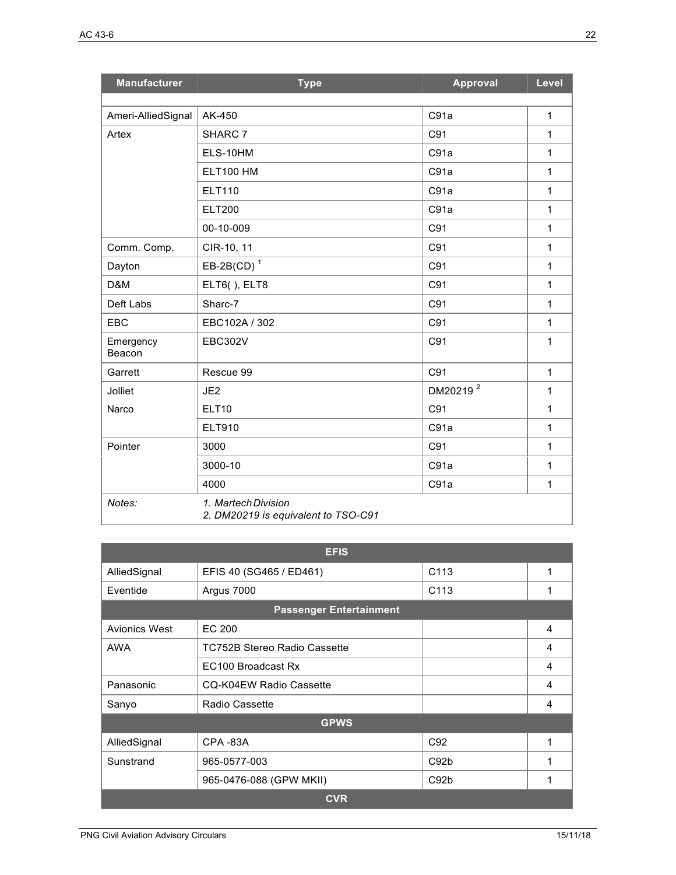| <b>Manufacturer</b> | <b>Type</b>                                                | <b>Approval</b>      | Level        |
|---------------------|------------------------------------------------------------|----------------------|--------------|
|                     |                                                            |                      |              |
| Ameri-AlliedSignal  | AK-450                                                     | C91a                 | 1            |
| Artex               | SHARC 7                                                    | C91                  | 1            |
|                     | ELS-10HM                                                   | C91a                 | 1            |
|                     | <b>ELT100 HM</b>                                           | C91a                 | 1            |
|                     | <b>ELT110</b>                                              | C91a                 | 1            |
|                     | <b>ELT200</b>                                              | C91a                 | 1            |
|                     | 00-10-009                                                  | C91                  | 1            |
| Comm. Comp.         | CIR-10, 11                                                 | C91                  | 1            |
| Dayton              | EB-2B(CD) <sup>1</sup>                                     | C91                  | 1            |
| D&M                 | ELT6(), ELT8                                               | C91                  | 1            |
| Deft Labs           | Sharc-7                                                    | C91                  | 1            |
| <b>EBC</b>          | EBC102A / 302                                              | C91                  | $\mathbf{1}$ |
| Emergency<br>Beacon | <b>EBC302V</b>                                             | C91                  | 1            |
| Garrett             | Rescue 99                                                  | C91                  | $\mathbf{1}$ |
| Jolliet             | JE2                                                        | DM20219 <sup>2</sup> | 1            |
| Narco               | <b>ELT10</b>                                               | C91                  | 1            |
|                     | ELT910                                                     | C91a                 | 1            |
| Pointer             | 3000                                                       | C91                  | 1            |
|                     | 3000-10                                                    | C91a                 | 1            |
|                     | 4000                                                       | C91a                 | 1            |
| Notes:              | 1. Martech Division<br>2. DM20219 is equivalent to TSO-C91 |                      |              |

| <b>EFIS</b>          |                                |                  |   |
|----------------------|--------------------------------|------------------|---|
| AlliedSignal         | EFIS 40 (SG465 / ED461)        | C <sub>113</sub> |   |
| Eventide             | Argus 7000                     | C <sub>113</sub> | 1 |
|                      | <b>Passenger Entertainment</b> |                  |   |
| <b>Avionics West</b> | EC 200                         |                  | 4 |
| AWA                  | TC752B Stereo Radio Cassette   |                  | 4 |
|                      | EC100 Broadcast Rx             |                  | 4 |
| Panasonic            | CQ-K04EW Radio Cassette        |                  | 4 |
| Sanyo                | Radio Cassette                 |                  | 4 |
| <b>GPWS</b>          |                                |                  |   |
| AlliedSignal         | CPA-83A                        | C <sub>92</sub>  |   |
| Sunstrand            | 965-0577-003                   | C92 <sub>b</sub> | 1 |
|                      | 965-0476-088 (GPW MKII)        | C92 <sub>b</sub> |   |
| <b>CVR</b>           |                                |                  |   |